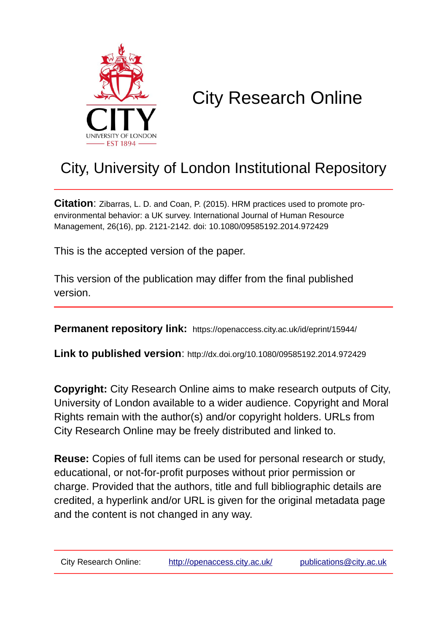

# City Research Online

# City, University of London Institutional Repository

**Citation**: Zibarras, L. D. and Coan, P. (2015). HRM practices used to promote proenvironmental behavior: a UK survey. International Journal of Human Resource Management, 26(16), pp. 2121-2142. doi: 10.1080/09585192.2014.972429

This is the accepted version of the paper.

This version of the publication may differ from the final published version.

**Permanent repository link:** https://openaccess.city.ac.uk/id/eprint/15944/

**Link to published version**: http://dx.doi.org/10.1080/09585192.2014.972429

**Copyright:** City Research Online aims to make research outputs of City, University of London available to a wider audience. Copyright and Moral Rights remain with the author(s) and/or copyright holders. URLs from City Research Online may be freely distributed and linked to.

**Reuse:** Copies of full items can be used for personal research or study, educational, or not-for-profit purposes without prior permission or charge. Provided that the authors, title and full bibliographic details are credited, a hyperlink and/or URL is given for the original metadata page and the content is not changed in any way.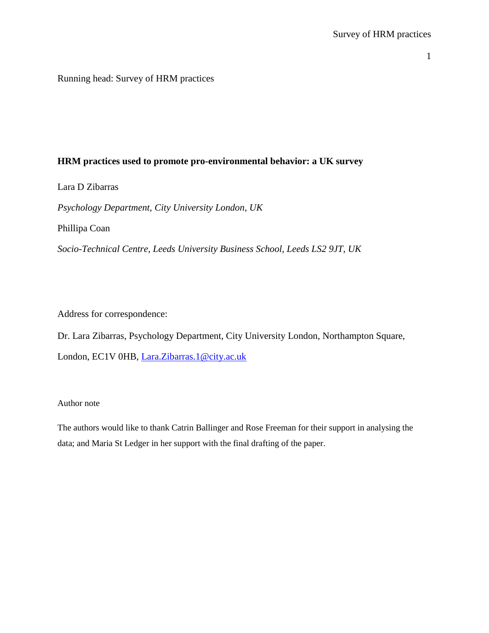Running head: Survey of HRM practices

# **HRM practices used to promote pro-environmental behavior: a UK survey**

Lara D Zibarras

*Psychology Department, City University London, UK*

Phillipa Coan

*Socio-Technical Centre, Leeds University Business School, Leeds LS2 9JT, UK*

Address for correspondence:

Dr. Lara Zibarras, Psychology Department, City University London, Northampton Square, London, EC1V 0HB, [Lara.Zibarras.1@city.ac.uk](mailto:Lara.Zibarras.1@city.ac.uk)

## Author note

The authors would like to thank Catrin Ballinger and Rose Freeman for their support in analysing the data; and Maria St Ledger in her support with the final drafting of the paper.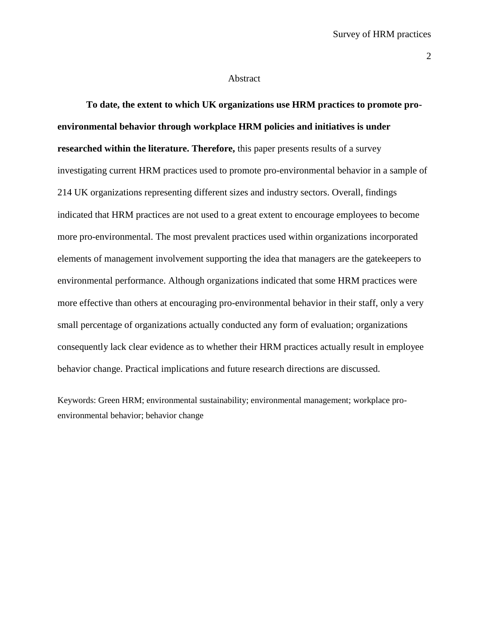#### Abstract

**To date, the extent to which UK organizations use HRM practices to promote proenvironmental behavior through workplace HRM policies and initiatives is under researched within the literature. Therefore,** this paper presents results of a survey investigating current HRM practices used to promote pro-environmental behavior in a sample of 214 UK organizations representing different sizes and industry sectors. Overall, findings indicated that HRM practices are not used to a great extent to encourage employees to become more pro-environmental. The most prevalent practices used within organizations incorporated elements of management involvement supporting the idea that managers are the gatekeepers to environmental performance. Although organizations indicated that some HRM practices were more effective than others at encouraging pro-environmental behavior in their staff, only a very small percentage of organizations actually conducted any form of evaluation; organizations consequently lack clear evidence as to whether their HRM practices actually result in employee behavior change. Practical implications and future research directions are discussed.

Keywords: Green HRM; environmental sustainability; environmental management; workplace proenvironmental behavior; behavior change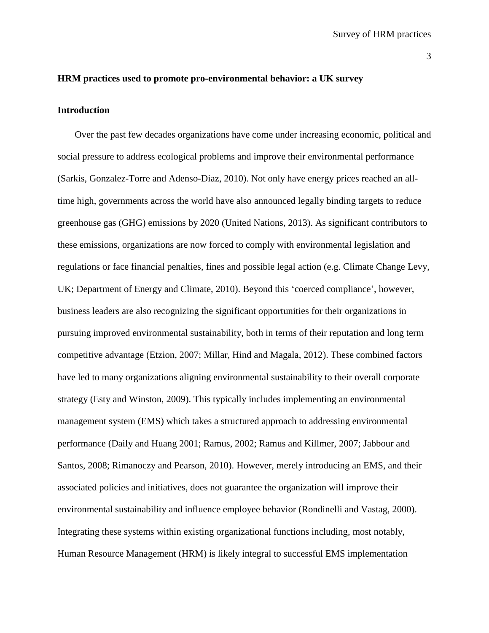#### **HRM practices used to promote pro-environmental behavior: a UK survey**

# **Introduction**

Over the past few decades organizations have come under increasing economic, political and social pressure to address ecological problems and improve their environmental performance (Sarkis, Gonzalez-Torre and Adenso-Diaz, 2010). Not only have energy prices reached an alltime high, governments across the world have also announced legally binding targets to reduce greenhouse gas (GHG) emissions by 2020 (United Nations, 2013). As significant contributors to these emissions, organizations are now forced to comply with environmental legislation and regulations or face financial penalties, fines and possible legal action (e.g. Climate Change Levy, UK; Department of Energy and Climate, 2010). Beyond this 'coerced compliance', however, business leaders are also recognizing the significant opportunities for their organizations in pursuing improved environmental sustainability, both in terms of their reputation and long term competitive advantage (Etzion, 2007; Millar, Hind and Magala, 2012). These combined factors have led to many organizations aligning environmental sustainability to their overall corporate strategy (Esty and Winston, 2009). This typically includes implementing an environmental management system (EMS) which takes a structured approach to addressing environmental performance (Daily and Huang 2001; Ramus, 2002; Ramus and Killmer, 2007; Jabbour and Santos, 2008; Rimanoczy and Pearson, 2010). However, merely introducing an EMS, and their associated policies and initiatives, does not guarantee the organization will improve their environmental sustainability and influence employee behavior (Rondinelli and Vastag, 2000). Integrating these systems within existing organizational functions including, most notably, Human Resource Management (HRM) is likely integral to successful EMS implementation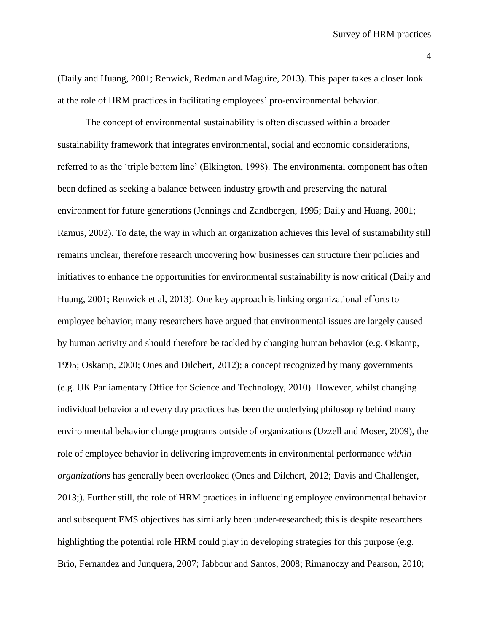(Daily and Huang, 2001; Renwick, Redman and Maguire, 2013). This paper takes a closer look at the role of HRM practices in facilitating employees' pro-environmental behavior.

The concept of environmental sustainability is often discussed within a broader sustainability framework that integrates environmental, social and economic considerations, referred to as the 'triple bottom line' (Elkington, 1998). The environmental component has often been defined as seeking a balance between industry growth and preserving the natural environment for future generations (Jennings and Zandbergen, 1995; Daily and Huang, 2001; Ramus, 2002). To date, the way in which an organization achieves this level of sustainability still remains unclear, therefore research uncovering how businesses can structure their policies and initiatives to enhance the opportunities for environmental sustainability is now critical (Daily and Huang, 2001; Renwick et al, 2013). One key approach is linking organizational efforts to employee behavior; many researchers have argued that environmental issues are largely caused by human activity and should therefore be tackled by changing human behavior (e.g. Oskamp, 1995; Oskamp, 2000; Ones and Dilchert, 2012); a concept recognized by many governments (e.g. UK Parliamentary Office for Science and Technology, 2010). However, whilst changing individual behavior and every day practices has been the underlying philosophy behind many environmental behavior change programs outside of organizations (Uzzell and Moser, 2009), the role of employee behavior in delivering improvements in environmental performance *within organizations* has generally been overlooked (Ones and Dilchert, 2012; Davis and Challenger, 2013;). Further still, the role of HRM practices in influencing employee environmental behavior and subsequent EMS objectives has similarly been under-researched; this is despite researchers highlighting the potential role HRM could play in developing strategies for this purpose (e.g. Brio, Fernandez and Junquera, 2007; Jabbour and Santos, 2008; Rimanoczy and Pearson, 2010;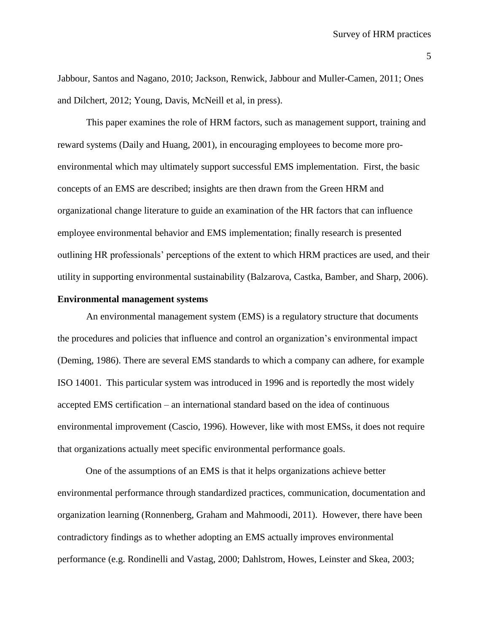Jabbour, Santos and Nagano, 2010; Jackson, Renwick, Jabbour and Muller-Camen, 2011; Ones and Dilchert, 2012; Young, Davis, McNeill et al, in press).

This paper examines the role of HRM factors, such as management support, training and reward systems (Daily and Huang, 2001), in encouraging employees to become more proenvironmental which may ultimately support successful EMS implementation. First, the basic concepts of an EMS are described; insights are then drawn from the Green HRM and organizational change literature to guide an examination of the HR factors that can influence employee environmental behavior and EMS implementation; finally research is presented outlining HR professionals' perceptions of the extent to which HRM practices are used, and their utility in supporting environmental sustainability (Balzarova, Castka, Bamber, and Sharp, 2006).

# **Environmental management systems**

An environmental management system (EMS) is a regulatory structure that documents the procedures and policies that influence and control an organization's environmental impact (Deming, 1986). There are several EMS standards to which a company can adhere, for example ISO 14001. This particular system was introduced in 1996 and is reportedly the most widely accepted EMS certification – an international standard based on the idea of continuous environmental improvement (Cascio, 1996). However, like with most EMSs, it does not require that organizations actually meet specific environmental performance goals.

One of the assumptions of an EMS is that it helps organizations achieve better environmental performance through standardized practices, communication, documentation and organization learning (Ronnenberg, Graham and Mahmoodi, 2011). However, there have been contradictory findings as to whether adopting an EMS actually improves environmental performance (e.g. Rondinelli and Vastag, 2000; Dahlstrom, Howes, Leinster and Skea, 2003;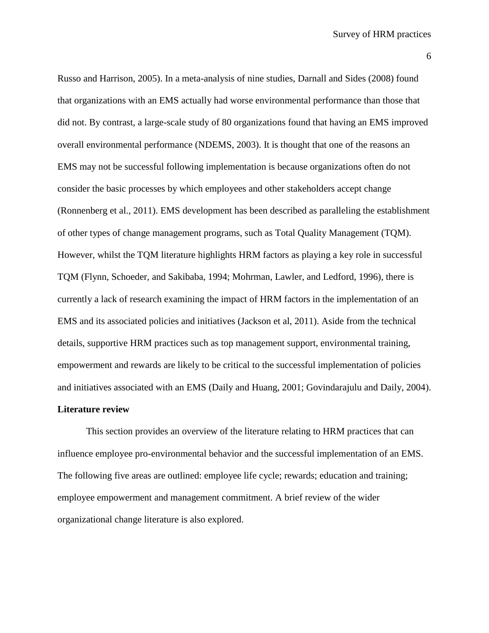Russo and Harrison, 2005). In a meta-analysis of nine studies, Darnall and Sides (2008) found that organizations with an EMS actually had worse environmental performance than those that did not. By contrast, a large-scale study of 80 organizations found that having an EMS improved overall environmental performance (NDEMS, 2003). It is thought that one of the reasons an EMS may not be successful following implementation is because organizations often do not consider the basic processes by which employees and other stakeholders accept change (Ronnenberg et al., 2011). EMS development has been described as paralleling the establishment of other types of change management programs, such as Total Quality Management (TQM). However, whilst the TQM literature highlights HRM factors as playing a key role in successful TQM (Flynn, Schoeder, and Sakibaba, 1994; Mohrman, Lawler, and Ledford, 1996), there is currently a lack of research examining the impact of HRM factors in the implementation of an EMS and its associated policies and initiatives (Jackson et al, 2011). Aside from the technical details, supportive HRM practices such as top management support, environmental training, empowerment and rewards are likely to be critical to the successful implementation of policies and initiatives associated with an EMS (Daily and Huang, 2001; Govindarajulu and Daily, 2004).

## **Literature review**

This section provides an overview of the literature relating to HRM practices that can influence employee pro-environmental behavior and the successful implementation of an EMS. The following five areas are outlined: employee life cycle; rewards; education and training; employee empowerment and management commitment. A brief review of the wider organizational change literature is also explored.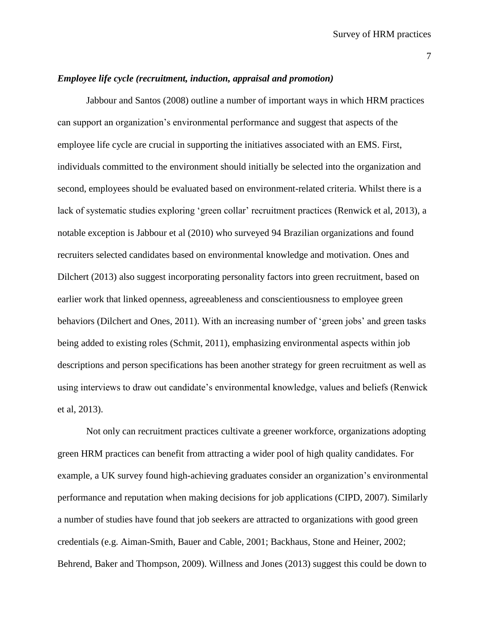#### *Employee life cycle (recruitment, induction, appraisal and promotion)*

Jabbour and Santos (2008) outline a number of important ways in which HRM practices can support an organization's environmental performance and suggest that aspects of the employee life cycle are crucial in supporting the initiatives associated with an EMS. First, individuals committed to the environment should initially be selected into the organization and second, employees should be evaluated based on environment-related criteria. Whilst there is a lack of systematic studies exploring 'green collar' recruitment practices (Renwick et al, 2013), a notable exception is Jabbour et al (2010) who surveyed 94 Brazilian organizations and found recruiters selected candidates based on environmental knowledge and motivation. Ones and Dilchert (2013) also suggest incorporating personality factors into green recruitment, based on earlier work that linked openness, agreeableness and conscientiousness to employee green behaviors (Dilchert and Ones, 2011). With an increasing number of 'green jobs' and green tasks being added to existing roles (Schmit, 2011), emphasizing environmental aspects within job descriptions and person specifications has been another strategy for green recruitment as well as using interviews to draw out candidate's environmental knowledge, values and beliefs (Renwick et al, 2013).

Not only can recruitment practices cultivate a greener workforce, organizations adopting green HRM practices can benefit from attracting a wider pool of high quality candidates. For example, a UK survey found high-achieving graduates consider an organization's environmental performance and reputation when making decisions for job applications (CIPD, 2007). Similarly a number of studies have found that job seekers are attracted to organizations with good green credentials (e.g. Aiman-Smith, Bauer and Cable, 2001; Backhaus, Stone and Heiner, 2002; Behrend, Baker and Thompson, 2009). Willness and Jones (2013) suggest this could be down to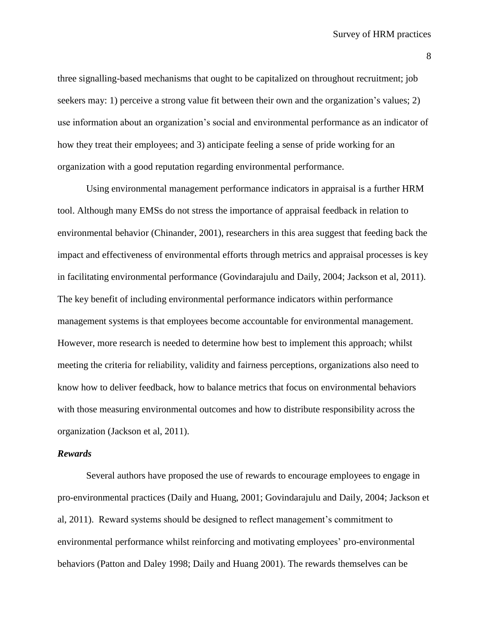three signalling-based mechanisms that ought to be capitalized on throughout recruitment; job seekers may: 1) perceive a strong value fit between their own and the organization's values; 2) use information about an organization's social and environmental performance as an indicator of how they treat their employees; and 3) anticipate feeling a sense of pride working for an organization with a good reputation regarding environmental performance.

Using environmental management performance indicators in appraisal is a further HRM tool. Although many EMSs do not stress the importance of appraisal feedback in relation to environmental behavior (Chinander, 2001), researchers in this area suggest that feeding back the impact and effectiveness of environmental efforts through metrics and appraisal processes is key in facilitating environmental performance (Govindarajulu and Daily, 2004; Jackson et al, 2011). The key benefit of including environmental performance indicators within performance management systems is that employees become accountable for environmental management. However, more research is needed to determine how best to implement this approach; whilst meeting the criteria for reliability, validity and fairness perceptions, organizations also need to know how to deliver feedback, how to balance metrics that focus on environmental behaviors with those measuring environmental outcomes and how to distribute responsibility across the organization (Jackson et al, 2011).

#### *Rewards*

Several authors have proposed the use of rewards to encourage employees to engage in pro-environmental practices (Daily and Huang, 2001; Govindarajulu and Daily, 2004; Jackson et al, 2011). Reward systems should be designed to reflect management's commitment to environmental performance whilst reinforcing and motivating employees' pro-environmental behaviors (Patton and Daley 1998; Daily and Huang 2001). The rewards themselves can be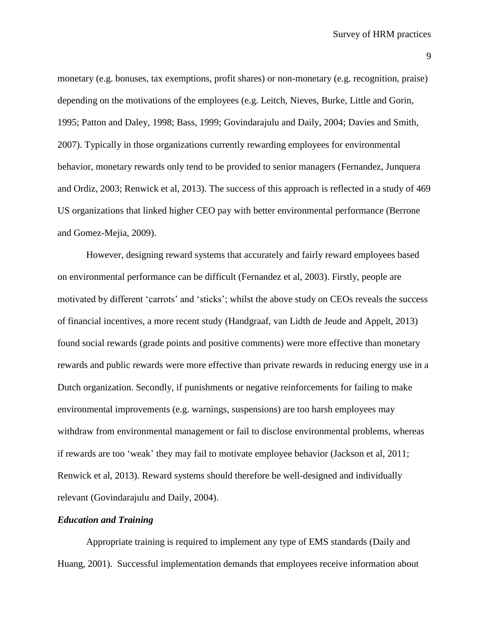monetary (e.g. bonuses, tax exemptions, profit shares) or non-monetary (e.g. recognition, praise) depending on the motivations of the employees (e.g. Leitch, Nieves, Burke, Little and Gorin, 1995; Patton and Daley, 1998; Bass, 1999; Govindarajulu and Daily, 2004; Davies and Smith, 2007). Typically in those organizations currently rewarding employees for environmental behavior, monetary rewards only tend to be provided to senior managers (Fernandez, Junquera and Ordiz, 2003; Renwick et al, 2013). The success of this approach is reflected in a study of 469 US organizations that linked higher CEO pay with better environmental performance (Berrone and Gomez-Mejia, 2009).

However, designing reward systems that accurately and fairly reward employees based on environmental performance can be difficult (Fernandez et al, 2003). Firstly, people are motivated by different 'carrots' and 'sticks'; whilst the above study on CEOs reveals the success of financial incentives, a more recent study (Handgraaf, van Lidth de Jeude and Appelt, 2013) found social rewards (grade points and positive comments) were more effective than monetary rewards and public rewards were more effective than private rewards in reducing energy use in a Dutch organization. Secondly, if punishments or negative reinforcements for failing to make environmental improvements (e.g. warnings, suspensions) are too harsh employees may withdraw from environmental management or fail to disclose environmental problems, whereas if rewards are too 'weak' they may fail to motivate employee behavior (Jackson et al, 2011; Renwick et al, 2013). Reward systems should therefore be well-designed and individually relevant (Govindarajulu and Daily, 2004).

# *Education and Training*

Appropriate training is required to implement any type of EMS standards (Daily and Huang, 2001). Successful implementation demands that employees receive information about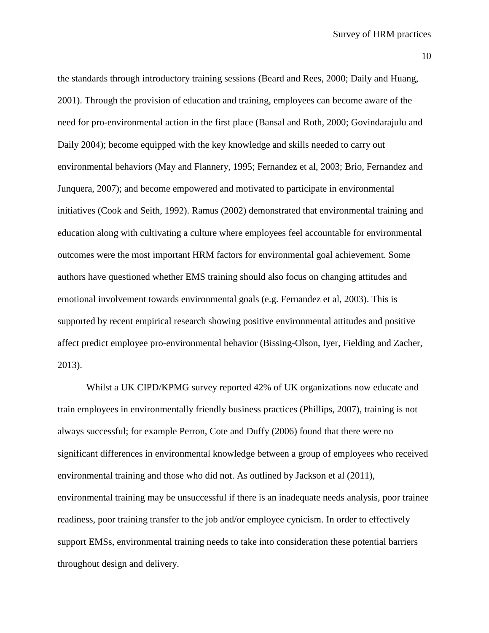the standards through introductory training sessions (Beard and Rees, 2000; Daily and Huang, 2001). Through the provision of education and training, employees can become aware of the need for pro-environmental action in the first place (Bansal and Roth, 2000; Govindarajulu and Daily 2004); become equipped with the key knowledge and skills needed to carry out environmental behaviors (May and Flannery, 1995; Fernandez et al, 2003; Brio, Fernandez and Junquera, 2007); and become empowered and motivated to participate in environmental initiatives (Cook and Seith, 1992). Ramus (2002) demonstrated that environmental training and education along with cultivating a culture where employees feel accountable for environmental outcomes were the most important HRM factors for environmental goal achievement. Some authors have questioned whether EMS training should also focus on changing attitudes and emotional involvement towards environmental goals (e.g. Fernandez et al, 2003). This is supported by recent empirical research showing positive environmental attitudes and positive affect predict employee pro-environmental behavior (Bissing-Olson, Iyer, Fielding and Zacher, 2013).

Whilst a UK CIPD/KPMG survey reported 42% of UK organizations now educate and train employees in environmentally friendly business practices (Phillips, 2007), training is not always successful; for example Perron, Cote and Duffy (2006) found that there were no significant differences in environmental knowledge between a group of employees who received environmental training and those who did not. As outlined by Jackson et al (2011), environmental training may be unsuccessful if there is an inadequate needs analysis, poor trainee readiness, poor training transfer to the job and/or employee cynicism. In order to effectively support EMSs, environmental training needs to take into consideration these potential barriers throughout design and delivery.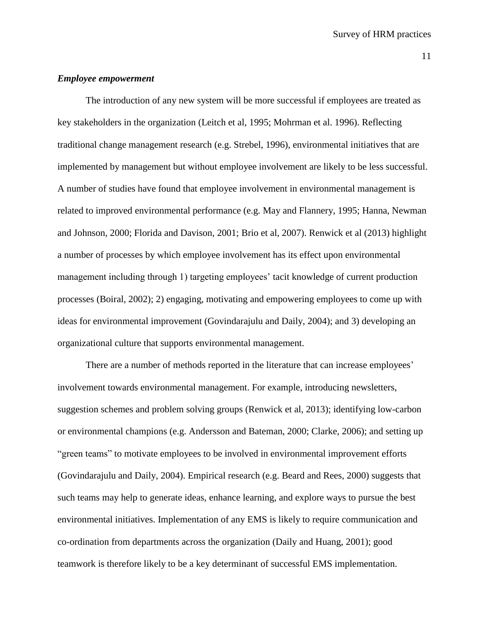#### *Employee empowerment*

The introduction of any new system will be more successful if employees are treated as key stakeholders in the organization (Leitch et al, 1995; Mohrman et al. 1996). Reflecting traditional change management research (e.g. Strebel, 1996), environmental initiatives that are implemented by management but without employee involvement are likely to be less successful. A number of studies have found that employee involvement in environmental management is related to improved environmental performance (e.g. May and Flannery, 1995; Hanna, Newman and Johnson, 2000; Florida and Davison, 2001; Brio et al, 2007). Renwick et al (2013) highlight a number of processes by which employee involvement has its effect upon environmental management including through 1) targeting employees' tacit knowledge of current production processes (Boiral, 2002); 2) engaging, motivating and empowering employees to come up with ideas for environmental improvement (Govindarajulu and Daily, 2004); and 3) developing an organizational culture that supports environmental management.

There are a number of methods reported in the literature that can increase employees' involvement towards environmental management. For example, introducing newsletters, suggestion schemes and problem solving groups (Renwick et al, 2013); identifying low-carbon or environmental champions (e.g. Andersson and Bateman, 2000; Clarke, 2006); and setting up "green teams" to motivate employees to be involved in environmental improvement efforts (Govindarajulu and Daily, 2004). Empirical research (e.g. Beard and Rees, 2000) suggests that such teams may help to generate ideas, enhance learning, and explore ways to pursue the best environmental initiatives. Implementation of any EMS is likely to require communication and co-ordination from departments across the organization (Daily and Huang, 2001); good teamwork is therefore likely to be a key determinant of successful EMS implementation.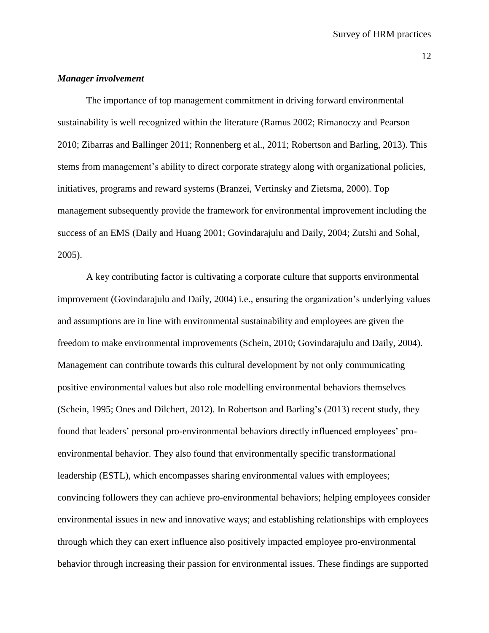#### *Manager involvement*

The importance of top management commitment in driving forward environmental sustainability is well recognized within the literature (Ramus 2002; Rimanoczy and Pearson 2010; Zibarras and Ballinger 2011; Ronnenberg et al., 2011; Robertson and Barling, 2013). This stems from management's ability to direct corporate strategy along with organizational policies, initiatives, programs and reward systems (Branzei, Vertinsky and Zietsma, 2000). Top management subsequently provide the framework for environmental improvement including the success of an EMS (Daily and Huang 2001; Govindarajulu and Daily, 2004; Zutshi and Sohal, 2005).

A key contributing factor is cultivating a corporate culture that supports environmental improvement (Govindarajulu and Daily, 2004) i.e., ensuring the organization's underlying values and assumptions are in line with environmental sustainability and employees are given the freedom to make environmental improvements (Schein, 2010; Govindarajulu and Daily, 2004). Management can contribute towards this cultural development by not only communicating positive environmental values but also role modelling environmental behaviors themselves (Schein, 1995; Ones and Dilchert, 2012). In Robertson and Barling's (2013) recent study, they found that leaders' personal pro-environmental behaviors directly influenced employees' proenvironmental behavior. They also found that environmentally specific transformational leadership (ESTL), which encompasses sharing environmental values with employees; convincing followers they can achieve pro-environmental behaviors; helping employees consider environmental issues in new and innovative ways; and establishing relationships with employees through which they can exert influence also positively impacted employee pro-environmental behavior through increasing their passion for environmental issues. These findings are supported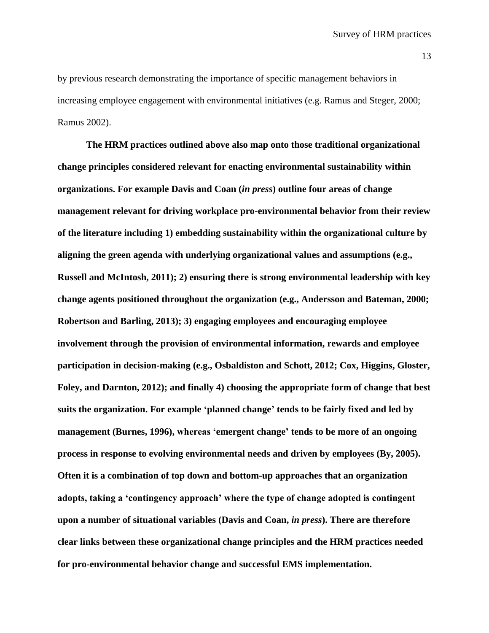by previous research demonstrating the importance of specific management behaviors in increasing employee engagement with environmental initiatives (e.g. Ramus and Steger, 2000; Ramus 2002).

**The HRM practices outlined above also map onto those traditional organizational change principles considered relevant for enacting environmental sustainability within organizations. For example Davis and Coan (***in press***) outline four areas of change management relevant for driving workplace pro-environmental behavior from their review of the literature including 1) embedding sustainability within the organizational culture by aligning the green agenda with underlying organizational values and assumptions (e.g., Russell and McIntosh, 2011); 2) ensuring there is strong environmental leadership with key change agents positioned throughout the organization (e.g., Andersson and Bateman, 2000; Robertson and Barling, 2013); 3) engaging employees and encouraging employee involvement through the provision of environmental information, rewards and employee participation in decision-making (e.g., Osbaldiston and Schott, 2012; Cox, Higgins, Gloster, Foley, and Darnton, 2012); and finally 4) choosing the appropriate form of change that best suits the organization. For example 'planned change' tends to be fairly fixed and led by management (Burnes, 1996), whereas 'emergent change' tends to be more of an ongoing process in response to evolving environmental needs and driven by employees (By, 2005). Often it is a combination of top down and bottom-up approaches that an organization adopts, taking a 'contingency approach' where the type of change adopted is contingent upon a number of situational variables (Davis and Coan,** *in press***). There are therefore clear links between these organizational change principles and the HRM practices needed for pro-environmental behavior change and successful EMS implementation.**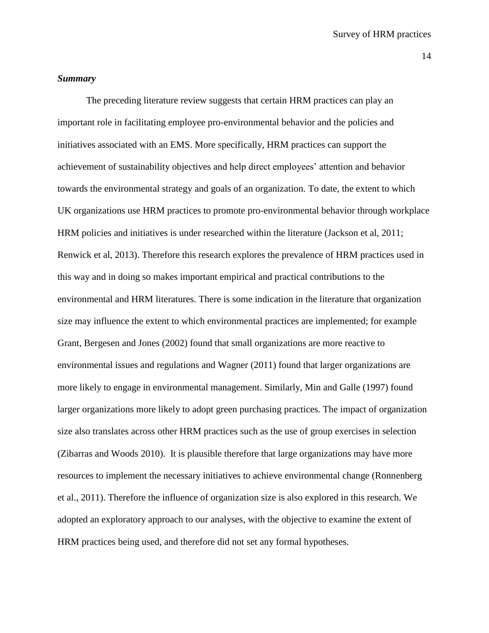# *Summary*

The preceding literature review suggests that certain HRM practices can play an important role in facilitating employee pro-environmental behavior and the policies and initiatives associated with an EMS. More specifically, HRM practices can support the achievement of sustainability objectives and help direct employees' attention and behavior towards the environmental strategy and goals of an organization. To date, the extent to which UK organizations use HRM practices to promote pro-environmental behavior through workplace HRM policies and initiatives is under researched within the literature (Jackson et al, 2011; Renwick et al, 2013). Therefore this research explores the prevalence of HRM practices used in this way and in doing so makes important empirical and practical contributions to the environmental and HRM literatures. There is some indication in the literature that organization size may influence the extent to which environmental practices are implemented; for example Grant, Bergesen and Jones (2002) found that small organizations are more reactive to environmental issues and regulations and Wagner (2011) found that larger organizations are more likely to engage in environmental management. Similarly, Min and Galle (1997) found larger organizations more likely to adopt green purchasing practices. The impact of organization size also translates across other HRM practices such as the use of group exercises in selection (Zibarras and Woods 2010). It is plausible therefore that large organizations may have more resources to implement the necessary initiatives to achieve environmental change (Ronnenberg et al., 2011). Therefore the influence of organization size is also explored in this research. We adopted an exploratory approach to our analyses, with the objective to examine the extent of HRM practices being used, and therefore did not set any formal hypotheses.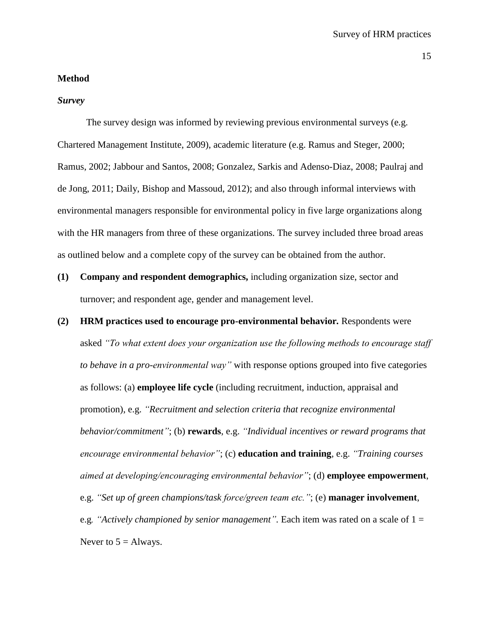#### **Method**

#### *Survey*

The survey design was informed by reviewing previous environmental surveys (e.g. Chartered Management Institute, 2009), academic literature (e.g. Ramus and Steger, 2000; Ramus, 2002; Jabbour and Santos, 2008; Gonzalez, Sarkis and Adenso-Diaz, 2008; Paulraj and de Jong, 2011; Daily, Bishop and Massoud, 2012); and also through informal interviews with environmental managers responsible for environmental policy in five large organizations along with the HR managers from three of these organizations. The survey included three broad areas as outlined below and a complete copy of the survey can be obtained from the author.

- **(1) Company and respondent demographics,** including organization size, sector and turnover; and respondent age, gender and management level.
- **(2) HRM practices used to encourage pro-environmental behavior***.* Respondents were asked *"To what extent does your organization use the following methods to encourage staff to behave in a pro-environmental way"* with response options grouped into five categories as follows: (a) **employee life cycle** (including recruitment, induction, appraisal and promotion), e.g. *"Recruitment and selection criteria that recognize environmental behavior/commitment"*; (b) **rewards**, e.g. *"Individual incentives or reward programs that encourage environmental behavior"*; (c) **education and training**, e.g. *"Training courses aimed at developing/encouraging environmental behavior"*; (d) **employee empowerment**, e.g. *"Set up of green champions/task force/green team etc."*; (e) **manager involvement**, e.g*. "Actively championed by senior management".* Each item was rated on a scale of 1 = Never to  $5 =$  Always.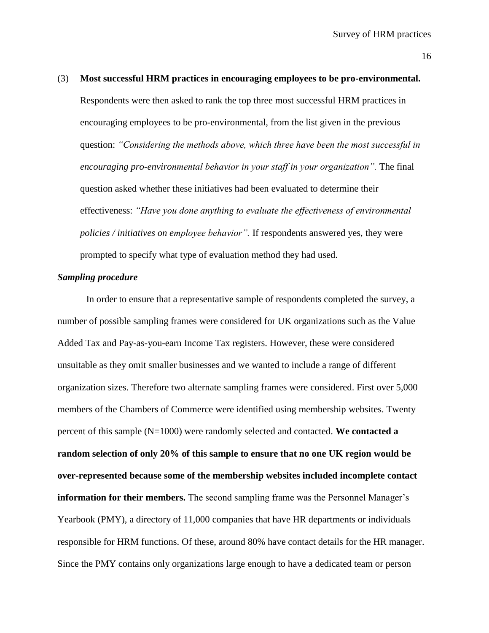# (3) **Most successful HRM practices in encouraging employees to be pro-environmental.** Respondents were then asked to rank the top three most successful HRM practices in encouraging employees to be pro-environmental, from the list given in the previous question: *"Considering the methods above, which three have been the most successful in encouraging pro-environmental behavior in your staff in your organization".* The final question asked whether these initiatives had been evaluated to determine their effectiveness: *"Have you done anything to evaluate the effectiveness of environmental policies / initiatives on employee behavior".* If respondents answered yes, they were prompted to specify what type of evaluation method they had used.

# *Sampling procedure*

In order to ensure that a representative sample of respondents completed the survey, a number of possible sampling frames were considered for UK organizations such as the Value Added Tax and Pay-as-you-earn Income Tax registers. However, these were considered unsuitable as they omit smaller businesses and we wanted to include a range of different organization sizes. Therefore two alternate sampling frames were considered. First over 5,000 members of the Chambers of Commerce were identified using membership websites. Twenty percent of this sample (N=1000) were randomly selected and contacted. **We contacted a random selection of only 20% of this sample to ensure that no one UK region would be over-represented because some of the membership websites included incomplete contact information for their members.** The second sampling frame was the Personnel Manager's Yearbook (PMY), a directory of 11,000 companies that have HR departments or individuals responsible for HRM functions. Of these, around 80% have contact details for the HR manager. Since the PMY contains only organizations large enough to have a dedicated team or person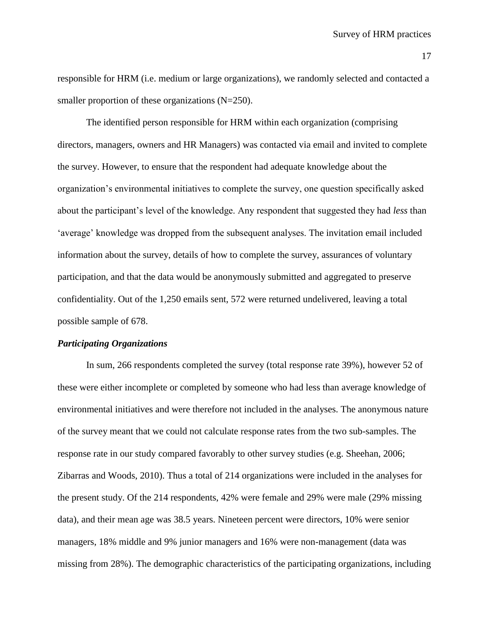responsible for HRM (i.e. medium or large organizations), we randomly selected and contacted a smaller proportion of these organizations (N=250).

The identified person responsible for HRM within each organization (comprising directors, managers, owners and HR Managers) was contacted via email and invited to complete the survey. However, to ensure that the respondent had adequate knowledge about the organization's environmental initiatives to complete the survey, one question specifically asked about the participant's level of the knowledge. Any respondent that suggested they had *less* than 'average' knowledge was dropped from the subsequent analyses. The invitation email included information about the survey, details of how to complete the survey, assurances of voluntary participation, and that the data would be anonymously submitted and aggregated to preserve confidentiality. Out of the 1,250 emails sent, 572 were returned undelivered, leaving a total possible sample of 678.

# *Participating Organizations*

In sum, 266 respondents completed the survey (total response rate 39%), however 52 of these were either incomplete or completed by someone who had less than average knowledge of environmental initiatives and were therefore not included in the analyses. The anonymous nature of the survey meant that we could not calculate response rates from the two sub-samples. The response rate in our study compared favorably to other survey studies (e.g. Sheehan, 2006; Zibarras and Woods, 2010). Thus a total of 214 organizations were included in the analyses for the present study. Of the 214 respondents, 42% were female and 29% were male (29% missing data), and their mean age was 38.5 years. Nineteen percent were directors, 10% were senior managers, 18% middle and 9% junior managers and 16% were non-management (data was missing from 28%). The demographic characteristics of the participating organizations, including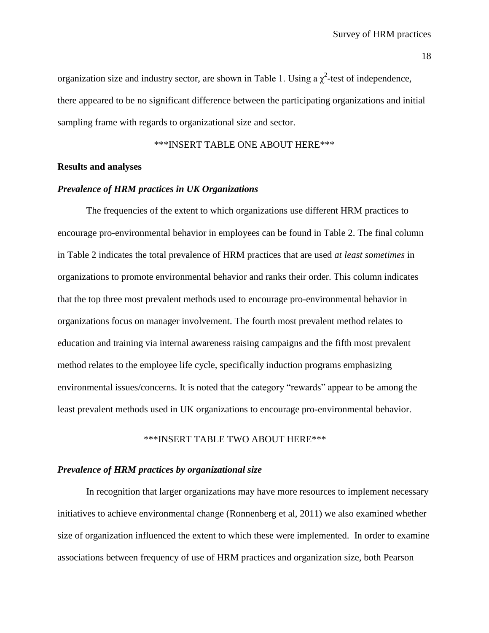organization size and industry sector, are shown in Table 1. Using a  $\chi^2$ -test of independence, there appeared to be no significant difference between the participating organizations and initial sampling frame with regards to organizational size and sector.

\*\*\*INSERT TABLE ONE ABOUT HERE\*\*\*

## **Results and analyses**

### *Prevalence of HRM practices in UK Organizations*

The frequencies of the extent to which organizations use different HRM practices to encourage pro-environmental behavior in employees can be found in Table 2. The final column in Table 2 indicates the total prevalence of HRM practices that are used *at least sometimes* in organizations to promote environmental behavior and ranks their order. This column indicates that the top three most prevalent methods used to encourage pro-environmental behavior in organizations focus on manager involvement. The fourth most prevalent method relates to education and training via internal awareness raising campaigns and the fifth most prevalent method relates to the employee life cycle, specifically induction programs emphasizing environmental issues/concerns. It is noted that the category "rewards" appear to be among the least prevalent methods used in UK organizations to encourage pro-environmental behavior.

\*\*\*INSERT TABLE TWO ABOUT HERE\*\*\*

## *Prevalence of HRM practices by organizational size*

In recognition that larger organizations may have more resources to implement necessary initiatives to achieve environmental change (Ronnenberg et al, 2011) we also examined whether size of organization influenced the extent to which these were implemented. In order to examine associations between frequency of use of HRM practices and organization size, both Pearson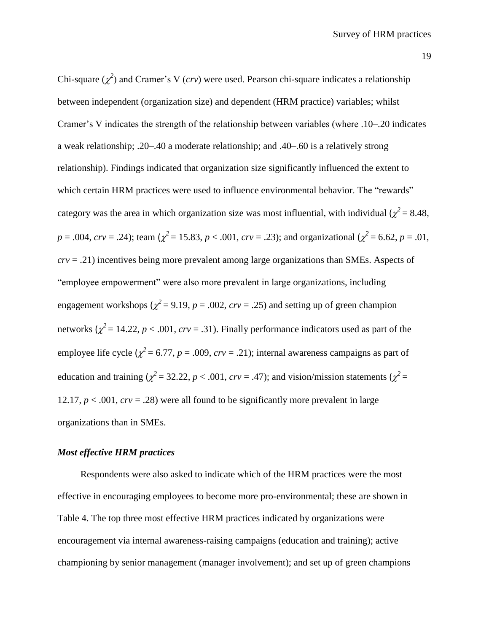Chi-square  $(\chi^2)$  and Cramer's V (*crv*) were used. Pearson chi-square indicates a relationship between independent (organization size) and dependent (HRM practice) variables; whilst Cramer's V indicates the strength of the relationship between variables (where .10–.20 indicates a weak relationship; .20–.40 a moderate relationship; and .40–.60 is a relatively strong relationship). Findings indicated that organization size significantly influenced the extent to which certain HRM practices were used to influence environmental behavior. The "rewards" category was the area in which organization size was most influential, with individual  $\chi^2$  = 8.48,  $p = .004$ ,  $crv = .24$ ); team ( $\chi^2 = 15.83$ ,  $p < .001$ ,  $crv = .23$ ); and organizational ( $\chi^2 = 6.62$ ,  $p = .01$ , *crv* = .21) incentives being more prevalent among large organizations than SMEs. Aspects of "employee empowerment" were also more prevalent in large organizations, including engagement workshops ( $\chi^2$  = 9.19, *p* = .002, *crv* = .25) and setting up of green champion networks  $\chi^2 = 14.22$ ,  $p < .001$ ,  $crv = .31$ ). Finally performance indicators used as part of the employee life cycle ( $\chi^2$  = 6.77, *p* = .009, *crv* = .21); internal awareness campaigns as part of education and training ( $\chi^2$  = 32.22, *p* < .001, *crv* = .47); and vision/mission statements ( $\chi^2$  = 12.17,  $p < .001$ ,  $crv = .28$ ) were all found to be significantly more prevalent in large organizations than in SMEs.

#### *Most effective HRM practices*

Respondents were also asked to indicate which of the HRM practices were the most effective in encouraging employees to become more pro-environmental; these are shown in Table 4. The top three most effective HRM practices indicated by organizations were encouragement via internal awareness-raising campaigns (education and training); active championing by senior management (manager involvement); and set up of green champions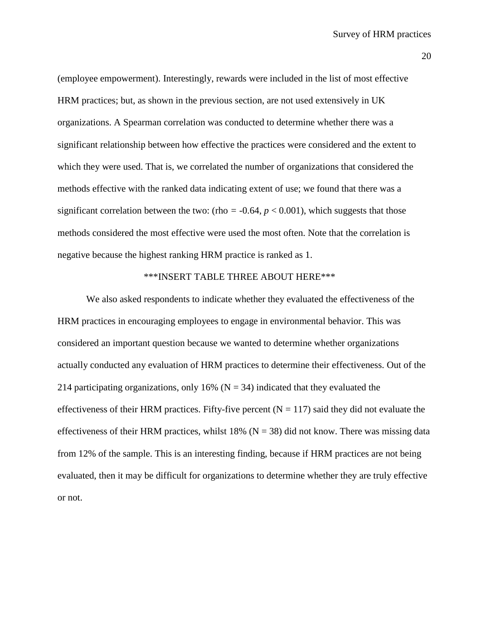(employee empowerment). Interestingly, rewards were included in the list of most effective HRM practices; but, as shown in the previous section, are not used extensively in UK organizations. A Spearman correlation was conducted to determine whether there was a significant relationship between how effective the practices were considered and the extent to which they were used. That is, we correlated the number of organizations that considered the methods effective with the ranked data indicating extent of use; we found that there was a significant correlation between the two: (rho  $= -0.64$ ,  $p < 0.001$ ), which suggests that those methods considered the most effective were used the most often. Note that the correlation is negative because the highest ranking HRM practice is ranked as 1.

# \*\*\*INSERT TABLE THREE ABOUT HERE\*\*\*

We also asked respondents to indicate whether they evaluated the effectiveness of the HRM practices in encouraging employees to engage in environmental behavior. This was considered an important question because we wanted to determine whether organizations actually conducted any evaluation of HRM practices to determine their effectiveness. Out of the 214 participating organizations, only 16% ( $N = 34$ ) indicated that they evaluated the effectiveness of their HRM practices. Fifty-five percent  $(N = 117)$  said they did not evaluate the effectiveness of their HRM practices, whilst 18% ( $N = 38$ ) did not know. There was missing data from 12% of the sample. This is an interesting finding, because if HRM practices are not being evaluated, then it may be difficult for organizations to determine whether they are truly effective or not.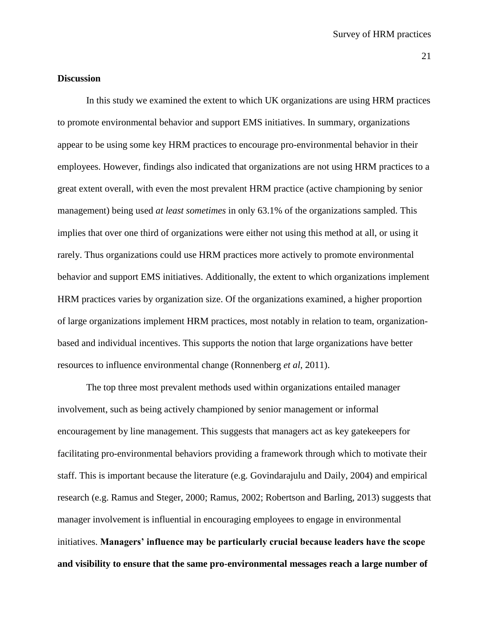## **Discussion**

In this study we examined the extent to which UK organizations are using HRM practices to promote environmental behavior and support EMS initiatives. In summary, organizations appear to be using some key HRM practices to encourage pro-environmental behavior in their employees. However, findings also indicated that organizations are not using HRM practices to a great extent overall, with even the most prevalent HRM practice (active championing by senior management) being used *at least sometimes* in only 63.1% of the organizations sampled. This implies that over one third of organizations were either not using this method at all, or using it rarely. Thus organizations could use HRM practices more actively to promote environmental behavior and support EMS initiatives. Additionally, the extent to which organizations implement HRM practices varies by organization size. Of the organizations examined, a higher proportion of large organizations implement HRM practices, most notably in relation to team, organizationbased and individual incentives. This supports the notion that large organizations have better resources to influence environmental change (Ronnenberg *et al*, 2011).

The top three most prevalent methods used within organizations entailed manager involvement, such as being actively championed by senior management or informal encouragement by line management. This suggests that managers act as key gatekeepers for facilitating pro-environmental behaviors providing a framework through which to motivate their staff. This is important because the literature (e.g. Govindarajulu and Daily, 2004) and empirical research (e.g. Ramus and Steger, 2000; Ramus, 2002; Robertson and Barling, 2013) suggests that manager involvement is influential in encouraging employees to engage in environmental initiatives. **Managers' influence may be particularly crucial because leaders have the scope and visibility to ensure that the same pro-environmental messages reach a large number of**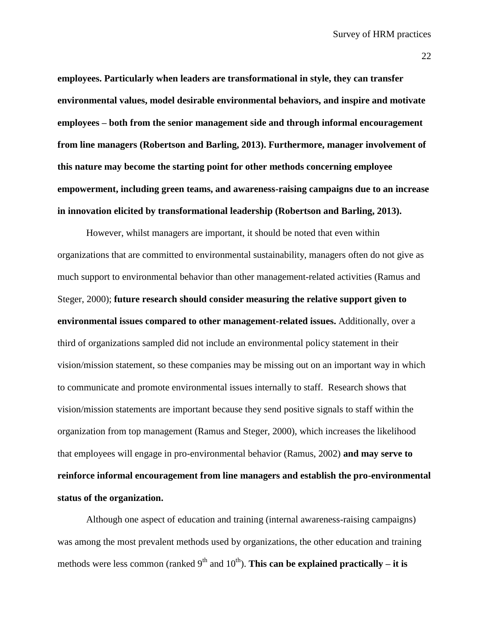**employees. Particularly when leaders are transformational in style, they can transfer environmental values, model desirable environmental behaviors, and inspire and motivate employees – both from the senior management side and through informal encouragement from line managers (Robertson and Barling, 2013). Furthermore, manager involvement of this nature may become the starting point for other methods concerning employee empowerment, including green teams, and awareness-raising campaigns due to an increase in innovation elicited by transformational leadership (Robertson and Barling, 2013).** 

However, whilst managers are important, it should be noted that even within organizations that are committed to environmental sustainability, managers often do not give as much support to environmental behavior than other management-related activities (Ramus and Steger, 2000); **future research should consider measuring the relative support given to environmental issues compared to other management-related issues.** Additionally, over a third of organizations sampled did not include an environmental policy statement in their vision/mission statement, so these companies may be missing out on an important way in which to communicate and promote environmental issues internally to staff. Research shows that vision/mission statements are important because they send positive signals to staff within the organization from top management (Ramus and Steger, 2000), which increases the likelihood that employees will engage in pro-environmental behavior (Ramus, 2002) **and may serve to reinforce informal encouragement from line managers and establish the pro-environmental status of the organization.**

Although one aspect of education and training (internal awareness-raising campaigns) was among the most prevalent methods used by organizations, the other education and training methods were less common (ranked  $9<sup>th</sup>$  and  $10<sup>th</sup>$ ). **This can be explained practically – it is**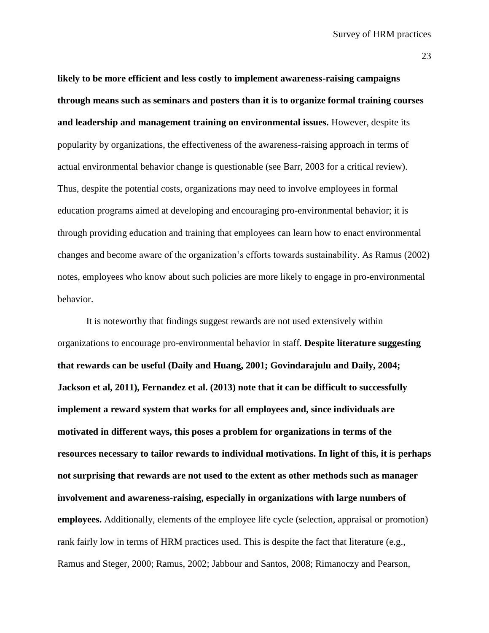**likely to be more efficient and less costly to implement awareness-raising campaigns through means such as seminars and posters than it is to organize formal training courses and leadership and management training on environmental issues.** However, despite its popularity by organizations, the effectiveness of the awareness-raising approach in terms of actual environmental behavior change is questionable (see Barr, 2003 for a critical review). Thus, despite the potential costs, organizations may need to involve employees in formal education programs aimed at developing and encouraging pro-environmental behavior; it is through providing education and training that employees can learn how to enact environmental changes and become aware of the organization's efforts towards sustainability. As Ramus (2002) notes, employees who know about such policies are more likely to engage in pro-environmental behavior.

It is noteworthy that findings suggest rewards are not used extensively within organizations to encourage pro-environmental behavior in staff. **Despite literature suggesting that rewards can be useful (Daily and Huang, 2001; Govindarajulu and Daily, 2004; Jackson et al, 2011), Fernandez et al. (2013) note that it can be difficult to successfully implement a reward system that works for all employees and, since individuals are motivated in different ways, this poses a problem for organizations in terms of the resources necessary to tailor rewards to individual motivations. In light of this, it is perhaps not surprising that rewards are not used to the extent as other methods such as manager involvement and awareness-raising, especially in organizations with large numbers of employees.** Additionally, elements of the employee life cycle (selection, appraisal or promotion) rank fairly low in terms of HRM practices used. This is despite the fact that literature (e.g., Ramus and Steger, 2000; Ramus, 2002; Jabbour and Santos, 2008; Rimanoczy and Pearson,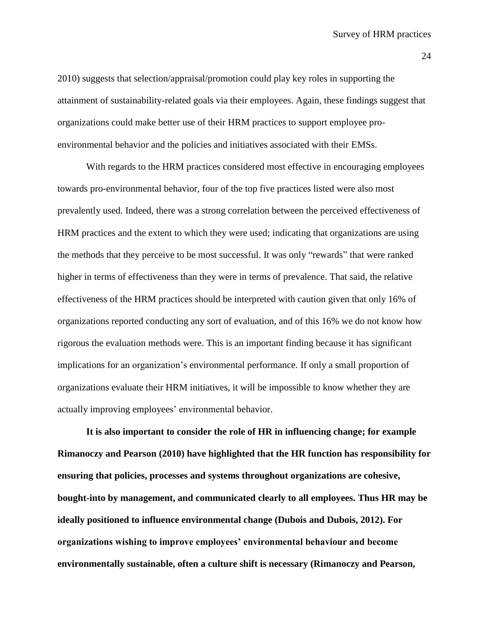2010) suggests that selection/appraisal/promotion could play key roles in supporting the attainment of sustainability-related goals via their employees. Again, these findings suggest that organizations could make better use of their HRM practices to support employee proenvironmental behavior and the policies and initiatives associated with their EMSs.

With regards to the HRM practices considered most effective in encouraging employees towards pro-environmental behavior, four of the top five practices listed were also most prevalently used. Indeed, there was a strong correlation between the perceived effectiveness of HRM practices and the extent to which they were used; indicating that organizations are using the methods that they perceive to be most successful. It was only "rewards" that were ranked higher in terms of effectiveness than they were in terms of prevalence. That said, the relative effectiveness of the HRM practices should be interpreted with caution given that only 16% of organizations reported conducting any sort of evaluation, and of this 16% we do not know how rigorous the evaluation methods were. This is an important finding because it has significant implications for an organization's environmental performance. If only a small proportion of organizations evaluate their HRM initiatives, it will be impossible to know whether they are actually improving employees' environmental behavior.

**It is also important to consider the role of HR in influencing change; for example Rimanoczy and Pearson (2010) have highlighted that the HR function has responsibility for ensuring that policies, processes and systems throughout organizations are cohesive, bought-into by management, and communicated clearly to all employees. Thus HR may be ideally positioned to influence environmental change (Dubois and Dubois, 2012). For organizations wishing to improve employees' environmental behaviour and become environmentally sustainable, often a culture shift is necessary (Rimanoczy and Pearson,**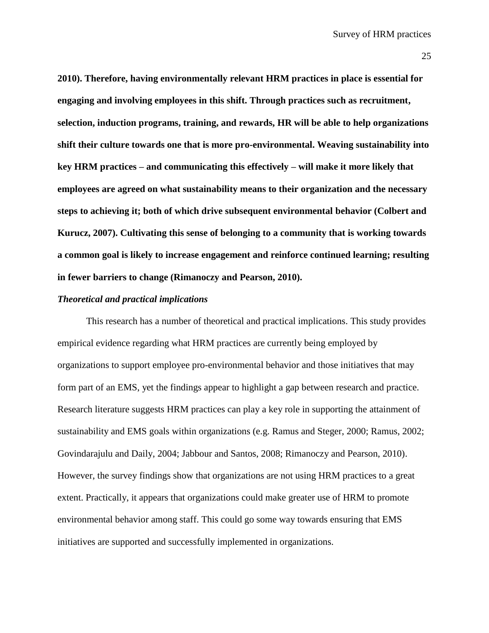**2010). Therefore, having environmentally relevant HRM practices in place is essential for engaging and involving employees in this shift. Through practices such as recruitment, selection, induction programs, training, and rewards, HR will be able to help organizations shift their culture towards one that is more pro-environmental. Weaving sustainability into key HRM practices – and communicating this effectively – will make it more likely that employees are agreed on what sustainability means to their organization and the necessary steps to achieving it; both of which drive subsequent environmental behavior (Colbert and Kurucz, 2007). Cultivating this sense of belonging to a community that is working towards a common goal is likely to increase engagement and reinforce continued learning; resulting in fewer barriers to change (Rimanoczy and Pearson, 2010).**

## *Theoretical and practical implications*

This research has a number of theoretical and practical implications. This study provides empirical evidence regarding what HRM practices are currently being employed by organizations to support employee pro-environmental behavior and those initiatives that may form part of an EMS, yet the findings appear to highlight a gap between research and practice. Research literature suggests HRM practices can play a key role in supporting the attainment of sustainability and EMS goals within organizations (e.g. Ramus and Steger, 2000; Ramus, 2002; Govindarajulu and Daily, 2004; Jabbour and Santos, 2008; Rimanoczy and Pearson, 2010). However, the survey findings show that organizations are not using HRM practices to a great extent. Practically, it appears that organizations could make greater use of HRM to promote environmental behavior among staff. This could go some way towards ensuring that EMS initiatives are supported and successfully implemented in organizations.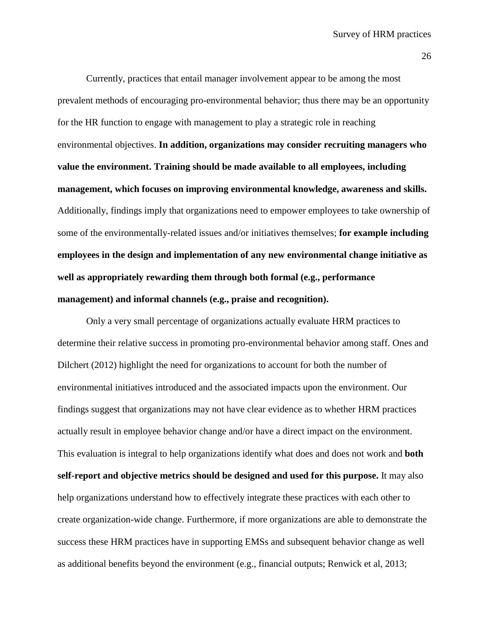Currently, practices that entail manager involvement appear to be among the most prevalent methods of encouraging pro-environmental behavior; thus there may be an opportunity for the HR function to engage with management to play a strategic role in reaching environmental objectives. **In addition, organizations may consider recruiting managers who value the environment. Training should be made available to all employees, including management, which focuses on improving environmental knowledge, awareness and skills.**  Additionally, findings imply that organizations need to empower employees to take ownership of some of the environmentally-related issues and/or initiatives themselves; **for example including employees in the design and implementation of any new environmental change initiative as well as appropriately rewarding them through both formal (e.g., performance management) and informal channels (e.g., praise and recognition).**

Only a very small percentage of organizations actually evaluate HRM practices to determine their relative success in promoting pro-environmental behavior among staff. Ones and Dilchert (2012) highlight the need for organizations to account for both the number of environmental initiatives introduced and the associated impacts upon the environment. Our findings suggest that organizations may not have clear evidence as to whether HRM practices actually result in employee behavior change and/or have a direct impact on the environment. This evaluation is integral to help organizations identify what does and does not work and **both self-report and objective metrics should be designed and used for this purpose.** It may also help organizations understand how to effectively integrate these practices with each other to create organization-wide change. Furthermore, if more organizations are able to demonstrate the success these HRM practices have in supporting EMSs and subsequent behavior change as well as additional benefits beyond the environment (e.g., financial outputs; Renwick et al, 2013;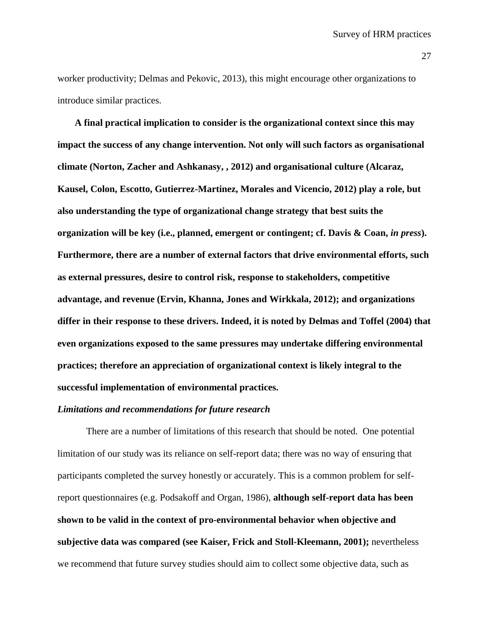worker productivity; Delmas and Pekovic, 2013), this might encourage other organizations to introduce similar practices.

**A final practical implication to consider is the organizational context since this may impact the success of any change intervention. Not only will such factors as organisational climate (Norton, Zacher and Ashkanasy, , 2012) and organisational culture (Alcaraz, Kausel, Colon, Escotto, Gutierrez-Martinez, Morales and Vicencio, 2012) play a role, but also understanding the type of organizational change strategy that best suits the organization will be key (i.e., planned, emergent or contingent; cf. Davis & Coan,** *in press***). Furthermore, there are a number of external factors that drive environmental efforts, such as external pressures, desire to control risk, response to stakeholders, competitive advantage, and revenue (Ervin, Khanna, Jones and Wirkkala, 2012); and organizations differ in their response to these drivers. Indeed, it is noted by Delmas and Toffel (2004) that even organizations exposed to the same pressures may undertake differing environmental practices; therefore an appreciation of organizational context is likely integral to the successful implementation of environmental practices.**

## *Limitations and recommendations for future research*

There are a number of limitations of this research that should be noted. One potential limitation of our study was its reliance on self-report data; there was no way of ensuring that participants completed the survey honestly or accurately. This is a common problem for selfreport questionnaires (e.g. Podsakoff and Organ, 1986), **although self-report data has been shown to be valid in the context of pro-environmental behavior when objective and subjective data was compared (see Kaiser, Frick and Stoll-Kleemann, 2001);** nevertheless we recommend that future survey studies should aim to collect some objective data, such as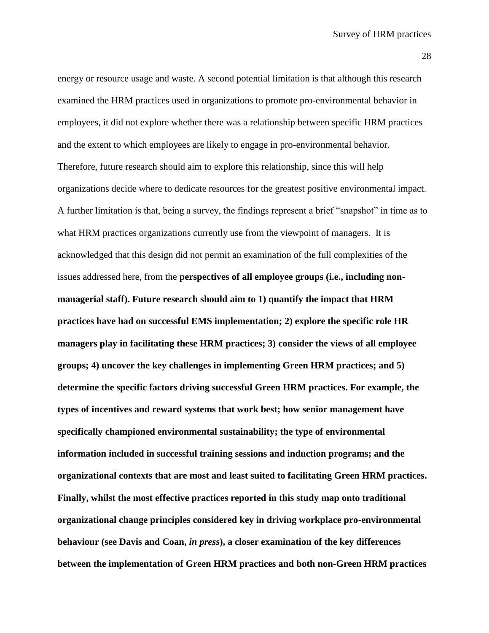energy or resource usage and waste. A second potential limitation is that although this research examined the HRM practices used in organizations to promote pro-environmental behavior in employees, it did not explore whether there was a relationship between specific HRM practices and the extent to which employees are likely to engage in pro-environmental behavior. Therefore, future research should aim to explore this relationship, since this will help organizations decide where to dedicate resources for the greatest positive environmental impact. A further limitation is that, being a survey, the findings represent a brief "snapshot" in time as to what HRM practices organizations currently use from the viewpoint of managers. It is acknowledged that this design did not permit an examination of the full complexities of the issues addressed here, from the **perspectives of all employee groups (i.e., including nonmanagerial staff). Future research should aim to 1) quantify the impact that HRM practices have had on successful EMS implementation; 2) explore the specific role HR managers play in facilitating these HRM practices; 3) consider the views of all employee groups; 4) uncover the key challenges in implementing Green HRM practices; and 5) determine the specific factors driving successful Green HRM practices. For example, the types of incentives and reward systems that work best; how senior management have specifically championed environmental sustainability; the type of environmental information included in successful training sessions and induction programs; and the organizational contexts that are most and least suited to facilitating Green HRM practices. Finally, whilst the most effective practices reported in this study map onto traditional organizational change principles considered key in driving workplace pro-environmental behaviour (see Davis and Coan,** *in press***), a closer examination of the key differences between the implementation of Green HRM practices and both non-Green HRM practices**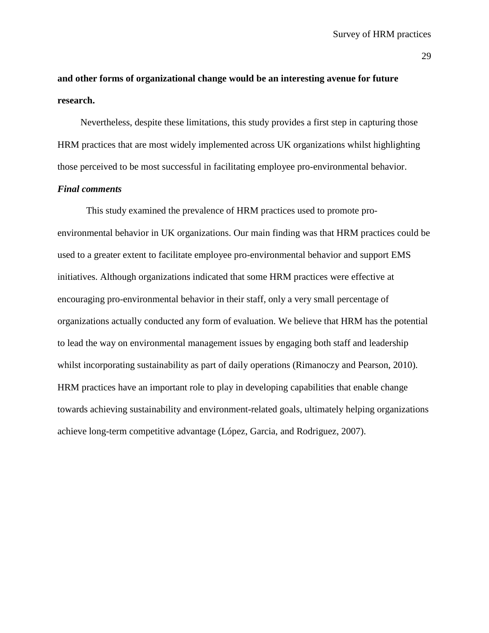**and other forms of organizational change would be an interesting avenue for future research.**

Nevertheless, despite these limitations, this study provides a first step in capturing those HRM practices that are most widely implemented across UK organizations whilst highlighting those perceived to be most successful in facilitating employee pro-environmental behavior.

# *Final comments*

This study examined the prevalence of HRM practices used to promote proenvironmental behavior in UK organizations. Our main finding was that HRM practices could be used to a greater extent to facilitate employee pro-environmental behavior and support EMS initiatives. Although organizations indicated that some HRM practices were effective at encouraging pro-environmental behavior in their staff, only a very small percentage of organizations actually conducted any form of evaluation. We believe that HRM has the potential to lead the way on environmental management issues by engaging both staff and leadership whilst incorporating sustainability as part of daily operations (Rimanoczy and Pearson, 2010). HRM practices have an important role to play in developing capabilities that enable change towards achieving sustainability and environment-related goals, ultimately helping organizations achieve long-term competitive advantage (López, Garcia, and Rodriguez, 2007).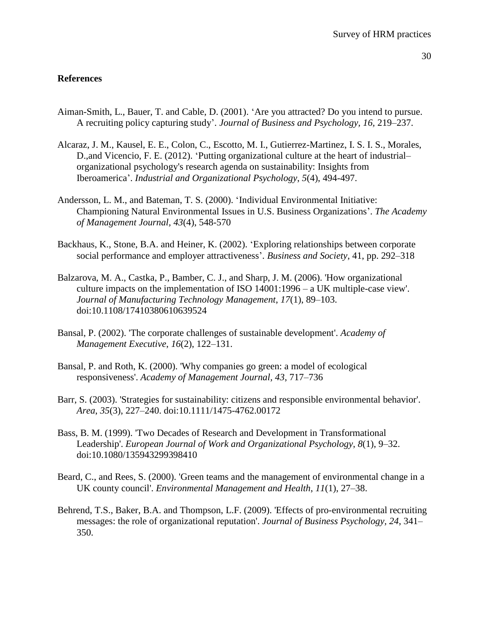# **References**

- Aiman-Smith, L., Bauer, T. and Cable, D. (2001). 'Are you attracted? Do you intend to pursue. A recruiting policy capturing study'. *Journal of Business and Psychology, 16,* 219–237.
- Alcaraz, J. M., Kausel, E. E., Colon, C., Escotto, M. I., Gutierrez-Martinez, I. S. I. S., Morales, D.,and Vicencio, F. E. (2012). 'Putting organizational culture at the heart of industrial– organizational psychology's research agenda on sustainability: Insights from Iberoamerica'. *Industrial and Organizational Psychology*, *5*(4), 494-497.
- Andersson, L. M., and Bateman, T. S. (2000). 'Individual Environmental Initiative: Championing Natural Environmental Issues in U.S. Business Organizations'. *The Academy of Management Journal, 43*(4), 548-570
- Backhaus, K., Stone, B.A. and Heiner, K. (2002). 'Exploring relationships between corporate social performance and employer attractiveness'. *Business and Society*, 41, pp. 292–318
- Balzarova, M. A., Castka, P., Bamber, C. J., and Sharp, J. M. (2006). 'How organizational culture impacts on the implementation of ISO 14001:1996 – a UK multiple-case view'. *Journal of Manufacturing Technology Management*, *17*(1), 89–103. doi:10.1108/17410380610639524
- Bansal, P. (2002). 'The corporate challenges of sustainable development'. *Academy of Management Executive*, *16*(2), 122–131.
- Bansal, P. and Roth, K. (2000). 'Why companies go green: a model of ecological responsiveness'. *Academy of Management Journal, 43*, 717–736
- Barr, S. (2003). 'Strategies for sustainability: citizens and responsible environmental behavior'. *Area*, *35*(3), 227–240. doi:10.1111/1475-4762.00172
- Bass, B. M. (1999). 'Two Decades of Research and Development in Transformational Leadership'. *European Journal of Work and Organizational Psychology*, *8*(1), 9–32. doi:10.1080/135943299398410
- Beard, C., and Rees, S. (2000). 'Green teams and the management of environmental change in a UK county council'. *Environmental Management and Health*, *11*(1), 27–38.
- Behrend, T.S., Baker, B.A. and Thompson, L.F. (2009). 'Effects of pro-environmental recruiting messages: the role of organizational reputation'. *Journal of Business Psychology, 24*, 341– 350.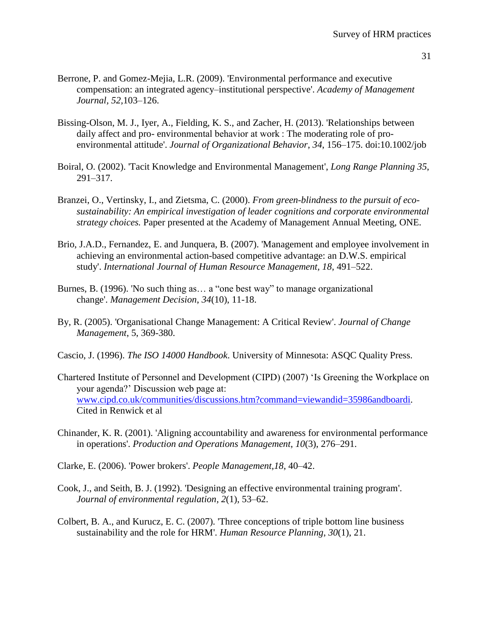- Berrone, P. and Gomez-Mejia, L.R. (2009). 'Environmental performance and executive compensation: an integrated agency–institutional perspective'. *Academy of Management Journal, 52,*103–126.
- Bissing-Olson, M. J., Iyer, A., Fielding, K. S., and Zacher, H. (2013). 'Relationships between daily affect and pro- environmental behavior at work : The moderating role of proenvironmental attitude'. *Journal of Organizational Behavior*, *34*, 156–175. doi:10.1002/job
- Boiral, O. (2002). 'Tacit Knowledge and Environmental Management', *Long Range Planning 35*, 291–317.
- Branzei, O., Vertinsky, I., and Zietsma, C. (2000). *From green-blindness to the pursuit of ecosustainability: An empirical investigation of leader cognitions and corporate environmental strategy choices.* Paper presented at the Academy of Management Annual Meeting, ONE.
- Brio, J.A.D., Fernandez, E. and Junquera, B. (2007). 'Management and employee involvement in achieving an environmental action-based competitive advantage: an D.W.S. empirical study'. *International Journal of Human Resource Management, 18*, 491–522.
- Burnes, B. (1996). 'No such thing as… a "one best way" to manage organizational change'. *Management Decision*, *34*(10), 11-18.
- By, R. (2005). 'Organisational Change Management: A Critical Review'. *Journal of Change Management*, 5, 369-380*.*
- Cascio, J. (1996). *The ISO 14000 Handbook*. University of Minnesota: ASQC Quality Press.
- Chartered Institute of Personnel and Development (CIPD) (2007) 'Is Greening the Workplace on your agenda?' Discussion web page at: [www.cipd.co.uk/communities/discussions.htm?command=viewandid=35986andboardi.](http://www.cipd.co.uk/communities/discussions.htm?command=view&id=35986&boardi) Cited in Renwick et al
- Chinander, K. R. (2001). 'Aligning accountability and awareness for environmental performance in operations'. *Production and Operations Management*, *10*(3), 276–291.
- Clarke, E. (2006). 'Power brokers'. *People Management,18*, 40–42.
- Cook, J., and Seith, B. J. (1992). 'Designing an effective environmental training program'. *Journal of environmental regulation*, *2*(1), 53–62.
- Colbert, B. A., and Kurucz, E. C. (2007). 'Three conceptions of triple bottom line business sustainability and the role for HRM'. *Human Resource Planning*, *30*(1), 21.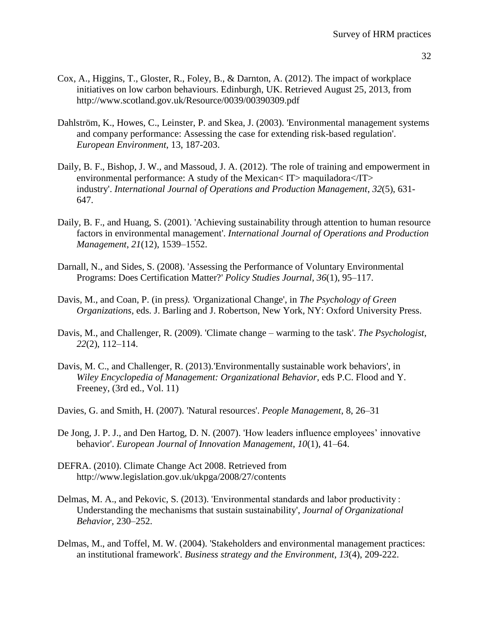- 32
- Cox, A., Higgins, T., Gloster, R., Foley, B., & Darnton, A. (2012). The impact of workplace initiatives on low carbon behaviours. Edinburgh, UK. Retrieved August 25, 2013, from http://www.scotland.gov.uk/Resource/0039/00390309.pdf
- Dahlström, K., Howes, C., Leinster, P. and Skea, J. (2003). 'Environmental management systems and company performance: Assessing the case for extending risk-based regulation'. *European Environment*, 13, 187-203.
- Daily, B. F., Bishop, J. W., and Massoud, J. A. (2012). 'The role of training and empowerment in environmental performance: A study of the Mexican  $IT$  maquiladora  $IT$ industry'. *International Journal of Operations and Production Management*, *32*(5), 631- 647.
- Daily, B. F., and Huang, S. (2001). 'Achieving sustainability through attention to human resource factors in environmental management'. *International Journal of Operations and Production Management*, *21*(12), 1539–1552.
- Darnall, N., and Sides, S. (2008). 'Assessing the Performance of Voluntary Environmental Programs: Does Certification Matter?' *Policy Studies Journal*, *36*(1), 95–117.
- Davis, M., and Coan, P. (in press*). '*Organizational Change', in *The Psychology of Green Organizations,* eds. J. Barling and J. Robertson, New York, NY: Oxford University Press.
- Davis, M., and Challenger, R. (2009). 'Climate change warming to the task'. *The Psychologist*, *22*(2), 112–114.
- Davis, M. C., and Challenger, R. (2013).'Environmentally sustainable work behaviors', in *Wiley Encyclopedia of Management: Organizational Behavior,* eds P.C. Flood and Y. Freeney, (3rd ed., Vol. 11)
- Davies, G. and Smith, H. (2007). 'Natural resources'. *People Management*, 8, 26–31
- De Jong, J. P. J., and Den Hartog, D. N. (2007). 'How leaders influence employees' innovative behavior'. *European Journal of Innovation Management*, *10*(1), 41–64.
- DEFRA. (2010). Climate Change Act 2008. Retrieved from http://www.legislation.gov.uk/ukpga/2008/27/contents
- Delmas, M. A., and Pekovic, S. (2013). 'Environmental standards and labor productivity : Understanding the mechanisms that sustain sustainability', *Journal of Organizational Behavior,* 230–252.
- Delmas, M., and Toffel, M. W. (2004). 'Stakeholders and environmental management practices: an institutional framework'. *Business strategy and the Environment*, *13*(4), 209-222.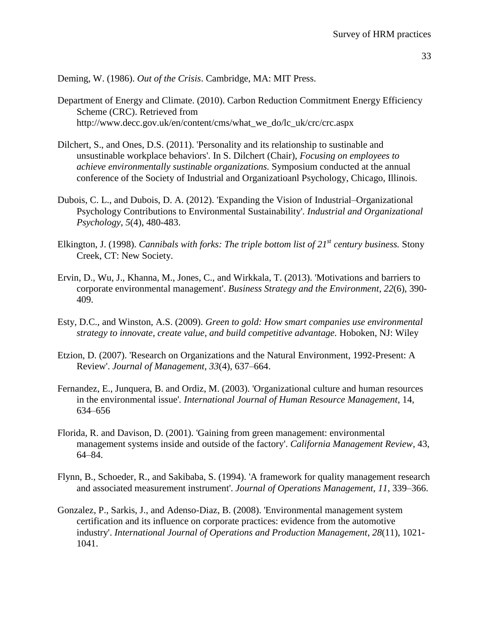Deming, W. (1986). *Out of the Crisis*. Cambridge, MA: MIT Press.

- Department of Energy and Climate. (2010). Carbon Reduction Commitment Energy Efficiency Scheme (CRC). Retrieved from http://www.decc.gov.uk/en/content/cms/what\_we\_do/lc\_uk/crc/crc.aspx
- Dilchert, S., and Ones, D.S. (2011). 'Personality and its relationship to sustinable and unsustinable workplace behaviors'. In S. Dilchert (Chair), *Focusing on employees to achieve environmentally sustinable organizations.* Symposium conducted at the annual conference of the Society of Industrial and Organizatioanl Psychology, Chicago, Illinois.
- Dubois, C. L., and Dubois, D. A. (2012). 'Expanding the Vision of Industrial–Organizational Psychology Contributions to Environmental Sustainability'. *Industrial and Organizational Psychology*, *5*(4), 480-483.
- Elkington, J. (1998). *Cannibals with forks: The triple bottom list of 21st century business.* Stony Creek, CT: New Society.
- Ervin, D., Wu, J., Khanna, M., Jones, C., and Wirkkala, T. (2013). 'Motivations and barriers to corporate environmental management'. *Business Strategy and the Environment*, *22*(6), 390- 409.
- Esty, D.C., and Winston, A.S. (2009). *Green to gold: How smart companies use environmental strategy to innovate, create value, and build competitive advantage.* Hoboken, NJ: Wiley
- Etzion, D. (2007). 'Research on Organizations and the Natural Environment, 1992-Present: A Review'. *Journal of Management*, *33*(4), 637–664.
- Fernandez, E., Junquera, B. and Ordiz, M. (2003). 'Organizational culture and human resources in the environmental issue'*. International Journal of Human Resource Management*, 14, 634–656
- Florida, R. and Davison, D. (2001). 'Gaining from green management: environmental management systems inside and outside of the factory'. *California Management Review*, 43, 64–84.
- Flynn, B., Schoeder, R., and Sakibaba, S. (1994). 'A framework for quality management research and associated measurement instrument'. *Journal of Operations Management*, *11*, 339–366.
- Gonzalez, P., Sarkis, J., and Adenso-Diaz, B. (2008). 'Environmental management system certification and its influence on corporate practices: evidence from the automotive industry'. *International Journal of Operations and Production Management*, *28*(11), 1021- 1041.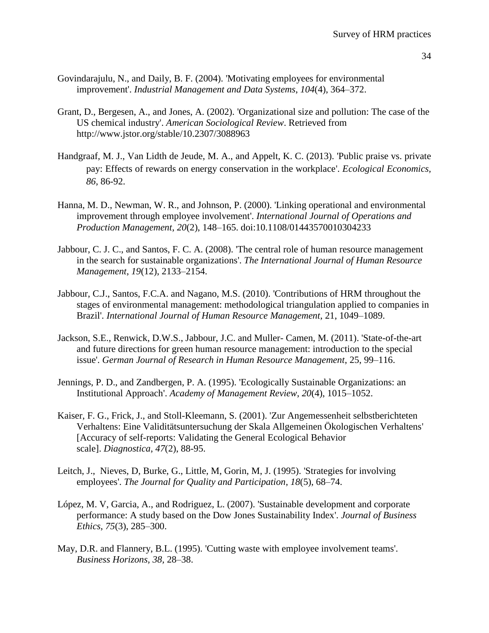- 34
- Govindarajulu, N., and Daily, B. F. (2004). 'Motivating employees for environmental improvement'. *Industrial Management and Data Systems*, *104*(4), 364–372.
- Grant, D., Bergesen, A., and Jones, A. (2002). 'Organizational size and pollution: The case of the US chemical industry'. *American Sociological Review*. Retrieved from http://www.jstor.org/stable/10.2307/3088963
- Handgraaf, M. J., Van Lidth de Jeude, M. A., and Appelt, K. C. (2013). 'Public praise vs. private pay: Effects of rewards on energy conservation in the workplace'. *Ecological Economics, 86*, 86-92.
- Hanna, M. D., Newman, W. R., and Johnson, P. (2000). 'Linking operational and environmental improvement through employee involvement'. *International Journal of Operations and Production Management*, *20*(2), 148–165. doi:10.1108/01443570010304233
- Jabbour, C. J. C., and Santos, F. C. A. (2008). 'The central role of human resource management in the search for sustainable organizations'. *The International Journal of Human Resource Management*, *19*(12), 2133–2154.
- Jabbour, C.J., Santos, F.C.A. and Nagano, M.S. (2010). 'Contributions of HRM throughout the stages of environmental management: methodological triangulation applied to companies in Brazil'. *International Journal of Human Resource Management*, 21, 1049–1089.
- Jackson, S.E., Renwick, D.W.S., Jabbour, J.C. and Muller- Camen, M. (2011). 'State-of-the-art and future directions for green human resource management: introduction to the special issue'. *German Journal of Research in Human Resource Management*, 25, 99–116.
- Jennings, P. D., and Zandbergen, P. A. (1995). 'Ecologically Sustainable Organizations: an Institutional Approach'. *Academy of Management Review*, *20*(4), 1015–1052.
- Kaiser, F. G., Frick, J., and Stoll-Kleemann, S. (2001). 'Zur Angemessenheit selbstberichteten Verhaltens: Eine Validitätsuntersuchung der Skala Allgemeinen Ökologischen Verhaltens' [Accuracy of self-reports: Validating the General Ecological Behavior scale]. *Diagnostica*, *47*(2), 88-95.
- Leitch, J., Nieves, D, Burke, G., Little, M, Gorin, M, J. (1995). 'Strategies for involving employees'. *The Journal for Quality and Participation*, *18*(5), 68–74.
- López, M. V, Garcia, A., and Rodriguez, L. (2007). 'Sustainable development and corporate performance: A study based on the Dow Jones Sustainability Index'. *Journal of Business Ethics*, *75*(3), 285–300.
- May, D.R. and Flannery, B.L. (1995). 'Cutting waste with employee involvement teams'. *Business Horizons, 38,* 28–38.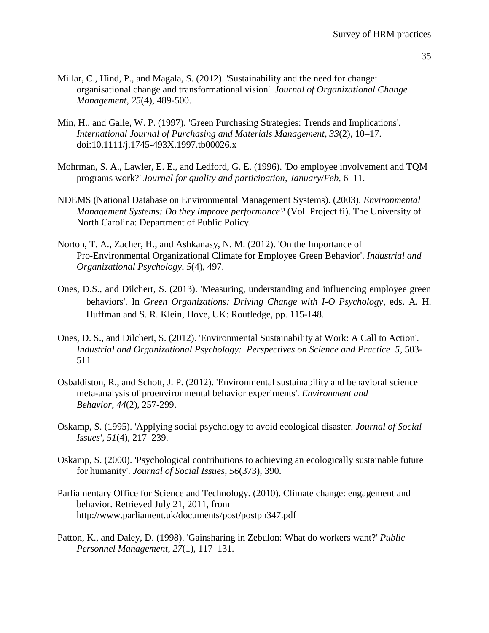- 35
- Millar, C., Hind, P., and Magala, S. (2012). 'Sustainability and the need for change: organisational change and transformational vision'. *Journal of Organizational Change Management*, *25*(4), 489-500.
- Min, H., and Galle, W. P. (1997). 'Green Purchasing Strategies: Trends and Implications'. *International Journal of Purchasing and Materials Management*, *33*(2), 10–17. doi:10.1111/j.1745-493X.1997.tb00026.x
- Mohrman, S. A., Lawler, E. E., and Ledford, G. E. (1996). 'Do employee involvement and TQM programs work?' *Journal for quality and participation*, *January/Feb*, 6–11.
- NDEMS (National Database on Environmental Management Systems). (2003). *Environmental Management Systems: Do they improve performance?* (Vol. Project fi). The University of North Carolina: Department of Public Policy.
- Norton, T. A., Zacher, H., and Ashkanasy, N. M. (2012). 'On the Importance of Pro‐Environmental Organizational Climate for Employee Green Behavior'. *Industrial and Organizational Psychology*, *5*(4), 497.
- Ones, D.S., and Dilchert, S. (2013). 'Measuring, understanding and influencing employee green behaviors'. In *Green Organizations: Driving Change with I-O Psychology,* eds. A. H. Huffman and S. R. Klein, Hove, UK: Routledge, pp. 115-148.
- Ones, D. S., and Dilchert, S. (2012). 'Environmental Sustainability at Work: A Call to Action'. *Industrial and Organizational Psychology: Perspectives on Science and Practice 5*, 503- 511
- Osbaldiston, R., and Schott, J. P. (2012). 'Environmental sustainability and behavioral science meta-analysis of proenvironmental behavior experiments'. *Environment and Behavior*, *44*(2), 257-299.
- Oskamp, S. (1995). 'Applying social psychology to avoid ecological disaster. *Journal of Social Issues'*, *51*(4), 217–239.
- Oskamp, S. (2000). 'Psychological contributions to achieving an ecologically sustainable future for humanity'. *Journal of Social Issues*, *56*(373), 390.
- Parliamentary Office for Science and Technology. (2010). Climate change: engagement and behavior. Retrieved July 21, 2011, from http://www.parliament.uk/documents/post/postpn347.pdf
- Patton, K., and Daley, D. (1998). 'Gainsharing in Zebulon: What do workers want?' *Public Personnel Management*, *27*(1), 117–131.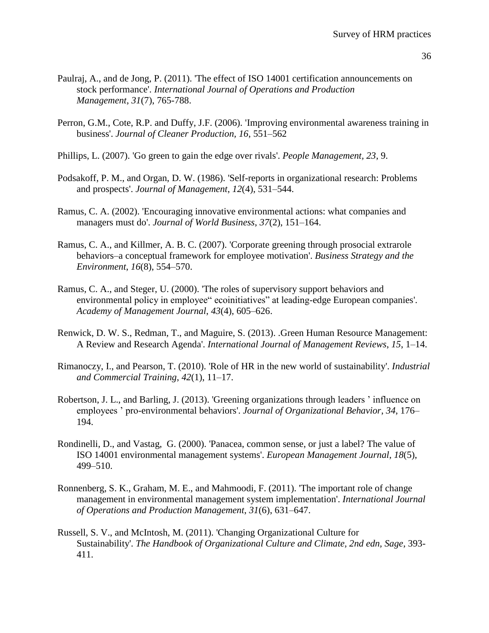- 36
- Paulraj, A., and de Jong, P. (2011). 'The effect of ISO 14001 certification announcements on stock performance'. *International Journal of Operations and Production Management*, *31*(7), 765-788.
- Perron, G.M., Cote, R.P. and Duffy, J.F. (2006). 'Improving environmental awareness training in business'. *Journal of Cleaner Production, 16*, 551–562
- Phillips, L. (2007). 'Go green to gain the edge over rivals'. *People Management, 23*, 9.
- Podsakoff, P. M., and Organ, D. W. (1986). 'Self-reports in organizational research: Problems and prospects'. *Journal of Management*, *12*(4), 531–544.
- Ramus, C. A. (2002). 'Encouraging innovative environmental actions: what companies and managers must do'. *Journal of World Business*, *37*(2), 151–164.
- Ramus, C. A., and Killmer, A. B. C. (2007). 'Corporate greening through prosocial extrarole behaviors–a conceptual framework for employee motivation'. *Business Strategy and the Environment*, *16*(8), 554–570.
- Ramus, C. A., and Steger, U. (2000). 'The roles of supervisory support behaviors and environmental policy in employee" ecoinitiatives" at leading-edge European companies'. *Academy of Management Journal*, *43*(4), 605–626.
- Renwick, D. W. S., Redman, T., and Maguire, S. (2013). .Green Human Resource Management: A Review and Research Agenda'. *International Journal of Management Reviews*, *15*, 1–14.
- Rimanoczy, I., and Pearson, T. (2010). 'Role of HR in the new world of sustainability'. *Industrial and Commercial Training*, *42*(1), 11–17.
- Robertson, J. L., and Barling, J. (2013). 'Greening organizations through leaders ' influence on employees ' pro-environmental behaviors'. *Journal of Organizational Behavior*, *34*, 176– 194.
- Rondinelli, D., and Vastag, G. (2000). 'Panacea, common sense, or just a label? The value of ISO 14001 environmental management systems'. *European Management Journal*, *18*(5), 499–510.
- Ronnenberg, S. K., Graham, M. E., and Mahmoodi, F. (2011). 'The important role of change management in environmental management system implementation'. *International Journal of Operations and Production Management*, *31*(6), 631–647.
- Russell, S. V., and McIntosh, M. (2011). 'Changing Organizational Culture for Sustainability'. *The Handbook of Organizational Culture and Climate, 2nd edn, Sage*, 393- 411.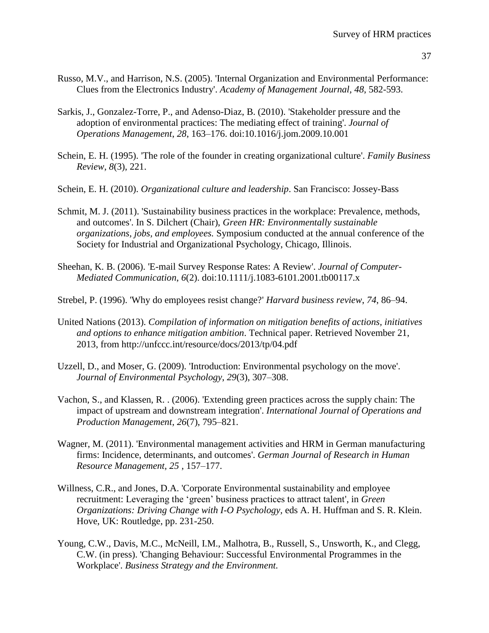- Russo, M.V., and Harrison, N.S. (2005). 'Internal Organization and Environmental Performance: Clues from the Electronics Industry'. *Academy of Management Journal, 48*, 582-593.
- Sarkis, J., Gonzalez-Torre, P., and Adenso-Diaz, B. (2010). 'Stakeholder pressure and the adoption of environmental practices: The mediating effect of training'. *Journal of Operations Management*, *28*, 163–176. doi:10.1016/j.jom.2009.10.001
- Schein, E. H. (1995). 'The role of the founder in creating organizational culture'. *Family Business Review*, *8*(3), 221.
- Schein, E. H. (2010). *Organizational culture and leadership*. San Francisco: Jossey-Bass
- Schmit, M. J. (2011). 'Sustainability business practices in the workplace: Prevalence, methods, and outcomes'. In S. Dilchert (Chair), *Green HR: Environmentally sustainable organizations, jobs, and employees.* Symposium conducted at the annual conference of the Society for Industrial and Organizational Psychology, Chicago, Illinois.
- Sheehan, K. B. (2006). 'E-mail Survey Response Rates: A Review'. *Journal of Computer-Mediated Communication*, *6*(2). doi:10.1111/j.1083-6101.2001.tb00117.x
- Strebel, P. (1996). 'Why do employees resist change?' *Harvard business review*, *74*, 86–94.
- United Nations (2013). *Compilation of information on mitigation benefits of actions, initiatives and options to enhance mitigation ambition*. Technical paper. Retrieved November 21, 2013, from http://unfccc.int/resource/docs/2013/tp/04.pdf
- Uzzell, D., and Moser, G. (2009). 'Introduction: Environmental psychology on the move'. *Journal of Environmental Psychology*, *29*(3), 307–308.
- Vachon, S., and Klassen, R. . (2006). 'Extending green practices across the supply chain: The impact of upstream and downstream integration'. *International Journal of Operations and Production Management*, *26*(7), 795–821.
- Wagner, M. (2011). 'Environmental management activities and HRM in German manufacturing firms: Incidence, determinants, and outcomes'. *German Journal of Research in Human Resource Management, 25* , 157–177.
- Willness, C.R., and Jones, D.A. 'Corporate Environmental sustainability and employee recruitment: Leveraging the 'green' business practices to attract talent', in *Green Organizations: Driving Change with I-O Psychology,* eds A. H. Huffman and S. R. Klein. Hove, UK: Routledge, pp. 231-250.
- Young, C.W., Davis, M.C., McNeill, I.M., Malhotra, B., Russell, S., Unsworth, K., and Clegg, C.W. (in press). 'Changing Behaviour: Successful Environmental Programmes in the Workplace'. *Business Strategy and the Environment.*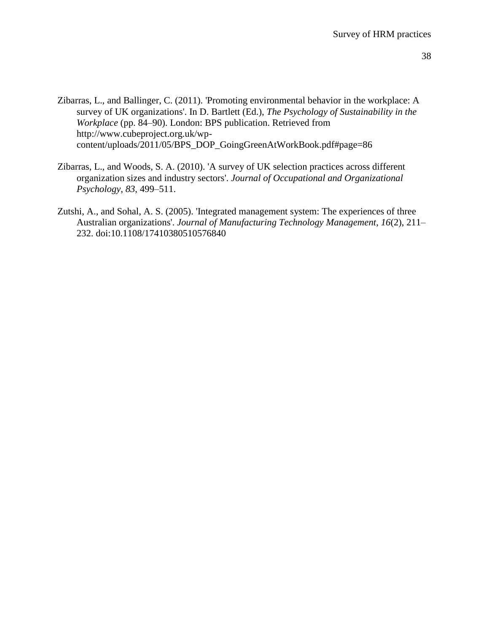- Zibarras, L., and Ballinger, C. (2011). 'Promoting environmental behavior in the workplace: A survey of UK organizations'. In D. Bartlett (Ed.), *The Psychology of Sustainability in the Workplace* (pp. 84–90). London: BPS publication. Retrieved from http://www.cubeproject.org.uk/wpcontent/uploads/2011/05/BPS\_DOP\_GoingGreenAtWorkBook.pdf#page=86
- Zibarras, L., and Woods, S. A. (2010). 'A survey of UK selection practices across different organization sizes and industry sectors'. *Journal of Occupational and Organizational Psychology*, *83*, 499–511.
- Zutshi, A., and Sohal, A. S. (2005). 'Integrated management system: The experiences of three Australian organizations'. *Journal of Manufacturing Technology Management*, *16*(2), 211– 232. doi:10.1108/17410380510576840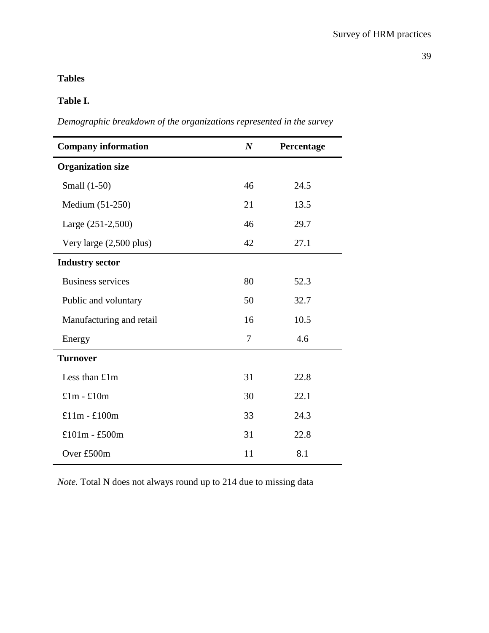# **Tables**

# **Table I.**

*Demographic breakdown of the organizations represented in the survey* 

| <b>Company information</b> | $\boldsymbol{N}$ | Percentage |
|----------------------------|------------------|------------|
| <b>Organization size</b>   |                  |            |
| Small (1-50)               | 46               | 24.5       |
| Medium (51-250)            | 21               | 13.5       |
| Large (251-2,500)          | 46               | 29.7       |
| Very large $(2,500$ plus)  | 42               | 27.1       |
| <b>Industry sector</b>     |                  |            |
| <b>Business services</b>   | 80               | 52.3       |
| Public and voluntary       | 50               | 32.7       |
| Manufacturing and retail   | 16               | 10.5       |
| Energy                     | 7                | 4.6        |
| <b>Turnover</b>            |                  |            |
| Less than £1m              | 31               | 22.8       |
| $£1m - £10m$               | 30               | 22.1       |
| $£11m - £100m$             | 33               | 24.3       |
| £101m - £500m              | 31               | 22.8       |
| Over £500m                 | 11               | 8.1        |

*Note.* Total N does not always round up to 214 due to missing data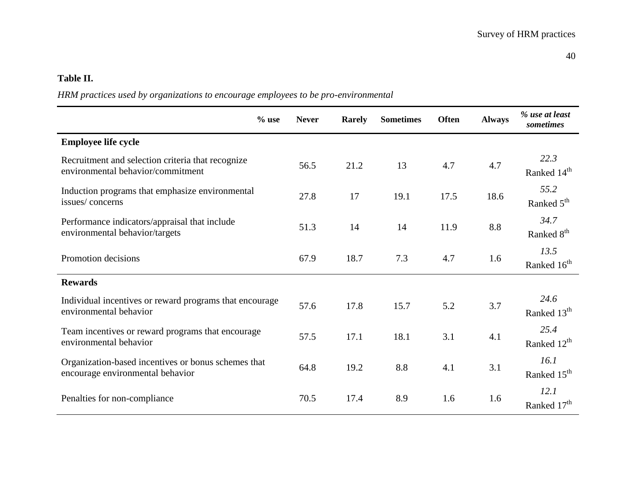# **Table II.**

# *HRM practices used by organizations to encourage employees to be pro-environmental*

|                                                                                         | $%$ use | <b>Never</b> | <b>Rarely</b> | <b>Sometimes</b> | <b>Often</b> | <b>Always</b> | % use at least<br>sometimes     |
|-----------------------------------------------------------------------------------------|---------|--------------|---------------|------------------|--------------|---------------|---------------------------------|
| <b>Employee life cycle</b>                                                              |         |              |               |                  |              |               |                                 |
| Recruitment and selection criteria that recognize<br>environmental behavior/commitment  |         | 56.5         | 21.2          | 13               | 4.7          | 4.7           | 22.3<br>Ranked 14 <sup>th</sup> |
| Induction programs that emphasize environmental<br>issues/concerns                      |         | 27.8         | 17            | 19.1             | 17.5         | 18.6          | 55.2<br>Ranked 5 <sup>th</sup>  |
| Performance indicators/appraisal that include<br>environmental behavior/targets         |         | 51.3         | 14            | 14               | 11.9         | 8.8           | 34.7<br>Ranked 8 <sup>th</sup>  |
| Promotion decisions                                                                     |         | 67.9         | 18.7          | 7.3              | 4.7          | 1.6           | 13.5<br>Ranked 16 <sup>th</sup> |
| <b>Rewards</b>                                                                          |         |              |               |                  |              |               |                                 |
| Individual incentives or reward programs that encourage<br>environmental behavior       |         | 57.6         | 17.8          | 15.7             | 5.2          | 3.7           | 24.6<br>Ranked 13 <sup>th</sup> |
| Team incentives or reward programs that encourage<br>environmental behavior             |         | 57.5         | 17.1          | 18.1             | 3.1          | 4.1           | 25.4<br>Ranked 12 <sup>th</sup> |
| Organization-based incentives or bonus schemes that<br>encourage environmental behavior |         | 64.8         | 19.2          | 8.8              | 4.1          | 3.1           | 16.1<br>Ranked 15 <sup>th</sup> |
| Penalties for non-compliance                                                            |         | 70.5         | 17.4          | 8.9              | 1.6          | 1.6           | 12.1<br>Ranked 17 <sup>th</sup> |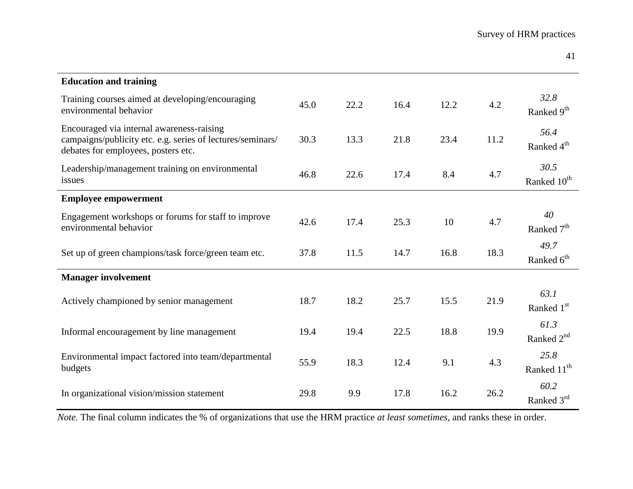| <b>Education and training</b>                                                                                                                  |      |      |      |      |      |                                 |
|------------------------------------------------------------------------------------------------------------------------------------------------|------|------|------|------|------|---------------------------------|
| Training courses aimed at developing/encouraging<br>environmental behavior                                                                     | 45.0 | 22.2 | 16.4 | 12.2 | 4.2  | 32.8<br>Ranked 9 <sup>th</sup>  |
| Encouraged via internal awareness-raising<br>campaigns/publicity etc. e.g. series of lectures/seminars/<br>debates for employees, posters etc. | 30.3 | 13.3 | 21.8 | 23.4 | 11.2 | 56.4<br>Ranked 4 <sup>th</sup>  |
| Leadership/management training on environmental<br>issues                                                                                      | 46.8 | 22.6 | 17.4 | 8.4  | 4.7  | 30.5<br>Ranked 10 <sup>th</sup> |
| <b>Employee empowerment</b>                                                                                                                    |      |      |      |      |      |                                 |
| Engagement workshops or forums for staff to improve<br>environmental behavior                                                                  | 42.6 | 17.4 | 25.3 | 10   | 4.7  | 40<br>Ranked 7 <sup>th</sup>    |
| Set up of green champions/task force/green team etc.                                                                                           | 37.8 | 11.5 | 14.7 | 16.8 | 18.3 | 49.7<br>Ranked 6 <sup>th</sup>  |
| <b>Manager involvement</b>                                                                                                                     |      |      |      |      |      |                                 |
| Actively championed by senior management                                                                                                       | 18.7 | 18.2 | 25.7 | 15.5 | 21.9 | 63.1<br>Ranked 1 <sup>st</sup>  |
| Informal encouragement by line management                                                                                                      | 19.4 | 19.4 | 22.5 | 18.8 | 19.9 | 61.3<br>Ranked $2nd$            |
| Environmental impact factored into team/departmental<br>budgets                                                                                | 55.9 | 18.3 | 12.4 | 9.1  | 4.3  | 25.8<br>Ranked 11 <sup>th</sup> |
| In organizational vision/mission statement                                                                                                     | 29.8 | 9.9  | 17.8 | 16.2 | 26.2 | 60.2<br>Ranked 3rd              |

*Note.* The final column indicates the % of organizations that use the HRM practice *at least sometimes*, and ranks these in order.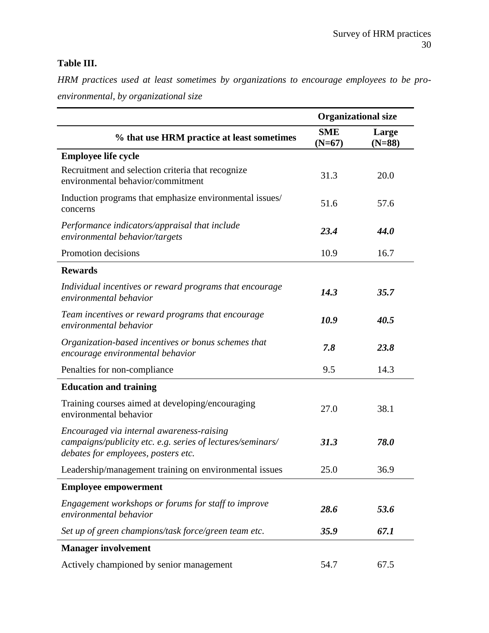# **Table III.**

*HRM practices used at least sometimes by organizations to encourage employees to be proenvironmental, by organizational size* 

|                                                                                                                                                | <b>Organizational size</b> |                   |  |
|------------------------------------------------------------------------------------------------------------------------------------------------|----------------------------|-------------------|--|
| % that use HRM practice at least sometimes                                                                                                     | <b>SME</b><br>$(N=67)$     | Large<br>$(N=88)$ |  |
| <b>Employee life cycle</b>                                                                                                                     |                            |                   |  |
| Recruitment and selection criteria that recognize<br>environmental behavior/commitment                                                         | 31.3                       | 20.0              |  |
| Induction programs that emphasize environmental issues/<br>concerns                                                                            | 51.6                       | 57.6              |  |
| Performance indicators/appraisal that include<br>environmental behavior/targets                                                                | 23.4                       | 44.0              |  |
| Promotion decisions                                                                                                                            | 10.9                       | 16.7              |  |
| <b>Rewards</b>                                                                                                                                 |                            |                   |  |
| Individual incentives or reward programs that encourage<br>environmental behavior                                                              | 14.3                       | 35.7              |  |
| Team incentives or reward programs that encourage<br>environmental behavior                                                                    | 10.9                       | 40.5              |  |
| Organization-based incentives or bonus schemes that<br>encourage environmental behavior                                                        | 7.8                        | 23.8              |  |
| Penalties for non-compliance                                                                                                                   | 9.5                        | 14.3              |  |
| <b>Education and training</b>                                                                                                                  |                            |                   |  |
| Training courses aimed at developing/encouraging<br>environmental behavior                                                                     | 27.0                       | 38.1              |  |
| Encouraged via internal awareness-raising<br>campaigns/publicity etc. e.g. series of lectures/seminars/<br>debates for employees, posters etc. | 31.3                       | 78.0              |  |
| Leadership/management training on environmental issues                                                                                         | 25.0                       | 36.9              |  |
| <b>Employee empowerment</b>                                                                                                                    |                            |                   |  |
| Engagement workshops or forums for staff to improve<br>environmental behavior                                                                  | 28.6                       | 53.6              |  |
| Set up of green champions/task force/green team etc.                                                                                           | 35.9                       | 67.1              |  |
| <b>Manager involvement</b>                                                                                                                     |                            |                   |  |
| Actively championed by senior management                                                                                                       | 54.7                       | 67.5              |  |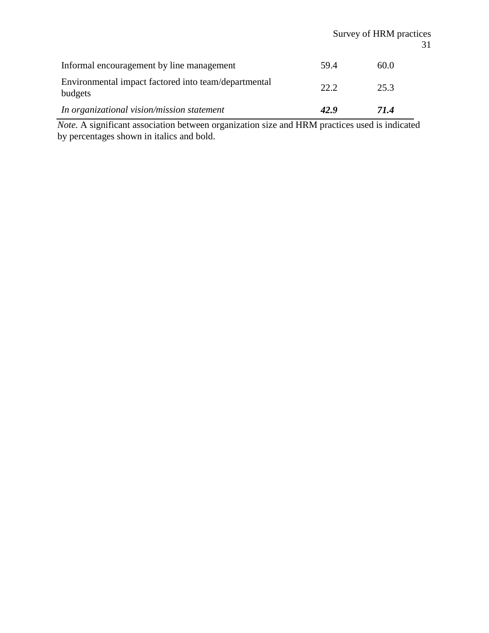# Survey of HRM practices 31

| Informal encouragement by line management                       | 59.4 | 60.0 |
|-----------------------------------------------------------------|------|------|
| Environmental impact factored into team/departmental<br>budgets | 22.2 | 25.3 |
| In organizational vision/mission statement                      | 42.9 | 71.4 |

*Note.* A significant association between organization size and HRM practices used is indicated by percentages shown in italics and bold.